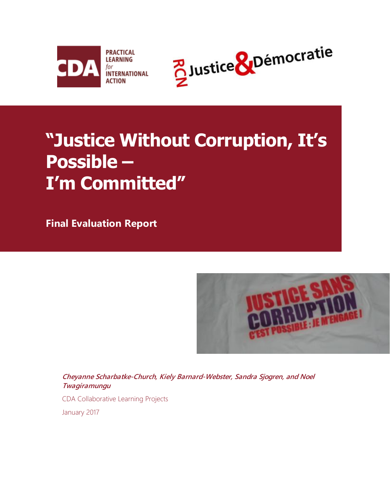



# **"Justice Without Corruption, It's Possible – I'm Committed"**

**Final Evaluation Report**



**Cheyanne Scharbatke-Church, Kiely Barnard-Webster, Sandra Sjogren, and Noel Twagiramungu**

CDA Collaborative Learning Projects

January 2017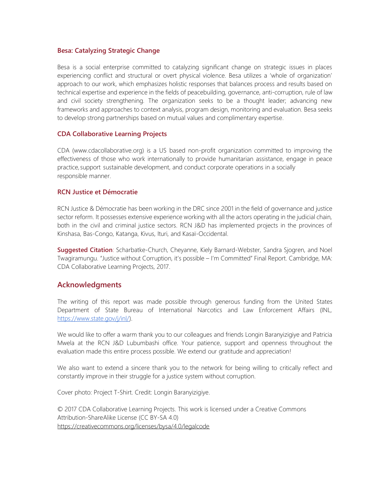#### **Besa: Catalyzing Strategic Change**

Besa is a social enterprise committed to catalyzing significant change on strategic issues in places experiencing conflict and structural or overt physical violence. Besa utilizes a 'whole of organization' approach to our work, which emphasizes holistic responses that balances process and results based on technical expertise and experience in the fields of peacebuilding, governance, anti-corruption, rule of law and civil society strengthening. The organization seeks to be a thought leader; advancing new frameworks and approaches to context analysis, program design, monitoring and evaluation. Besa seeks to develop strong partnerships based on mutual values and complimentary expertise.

#### **CDA Collaborative Learning Projects**

CDA (www.cdacollaborative.org) is a US based non-profit organization committed to improving the effectiveness of those who work internationally to provide humanitarian assistance, engage in peace practice,support sustainable development, and conduct corporate operations in a socially responsible manner.

#### **RCN Justice et Démocratie**

RCN Justice & Démocratie has been working in the DRC since 2001 in the field of governance and justice sector reform. It possesses extensive experience working with all the actors operating in the judicial chain, both in the civil and criminal justice sectors. RCN J&D has implemented projects in the provinces of Kinshasa, Bas-Congo, Katanga, Kivus, Ituri, and Kasaï-Occidental.

**Suggested Citation**: Scharbatke-Church, Cheyanne, Kiely Barnard-Webster, Sandra Sjogren, and Noel Twagiramungu. "Justice without Corruption, it's possible – I'm Committed" Final Report. Cambridge, MA: CDA Collaborative Learning Projects, 2017.

#### **Acknowledgments**

The writing of this report was made possible through generous funding from the United States Department of State Bureau of International Narcotics and Law Enforcement Affairs (INL, [https://www.state.gov/j/inl/\)](https://www.state.gov/j/inl/).

We would like to offer a warm thank you to our colleagues and friends Longin Baranyizigiye and Patricia Mwela at the RCN J&D Lubumbashi office. Your patience, support and openness throughout the evaluation made this entire process possible. We extend our gratitude and appreciation!

We also want to extend a sincere thank you to the network for being willing to critically reflect and constantly improve in their struggle for a justice system without corruption.

Cover photo: Project T-Shirt. Credit: Longin Baranyizigiye.

© 2017 CDA Collaborative Learning Projects. This work is licensed under a Creative Commons Attribution-ShareAlike License (CC BY-SA 4.0) <https://creativecommons.org/licenses/bysa/4.0/legalcode>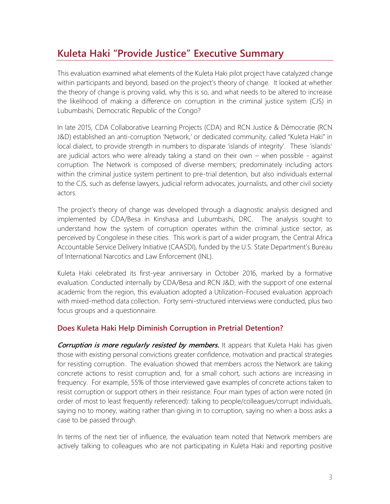## **Kuleta Haki "Provide Justice" Executive Summary**

This evaluation examined what elements of the Kuleta Haki pilot project have catalyzed change within participants and beyond, based on the project's theory of change. It looked at whether the theory of change is proving valid, why this is so, and what needs to be altered to increase the likelihood of making a difference on corruption in the criminal justice system (CJS) in Lubumbashi, Democratic Republic of the Congo?

In late 2015, CDA Collaborative Learning Projects (CDA) and RCN Justice & Démocratie (RCN J&D) established an anti-corruption 'Network,' or dedicated community, called "Kuleta Haki" in local dialect, to provide strength in numbers to disparate 'islands of integrity'. These 'islands' are judicial actors who were already taking a stand on their own – when possible - against corruption. The Network is composed of diverse members; predominately including actors within the criminal justice system pertinent to pre-trial detention, but also individuals external to the CJS, such as defense lawyers, judicial reform advocates, journalists, and other civil society actors.

The project's theory of change was developed through a diagnostic analysis designed and implemented by CDA/Besa in Kinshasa and Lubumbashi, DRC. The analysis sought to understand how the system of corruption operates within the criminal justice sector, as perceived by Congolese in these cities. This work is part of a wider program, the Central Africa Accountable Service Delivery Initiative (CAASDI), funded by the U.S. State Department's Bureau of International Narcotics and Law Enforcement (INL).

Kuleta Haki celebrated its first-year anniversary in October 2016, marked by a formative evaluation. Conducted internally by CDA/Besa and RCN J&D, with the support of one external academic from the region, this evaluation adopted a Utilization-Focused evaluation approach with mixed-method data collection. Forty semi-structured interviews were conducted, plus two focus groups and a questionnaire.

#### **Does Kuleta Haki Help Diminish Corruption in Pretrial Detention?**

**Corruption is more regularly resisted by members.** It appears that Kuleta Haki has given those with existing personal convictions greater confidence, motivation and practical strategies for resisting corruption. The evaluation showed that members across the Network are taking concrete actions to resist corruption and, for a small cohort, such actions are increasing in frequency. For example, 55% of those interviewed gave examples of concrete actions taken to resist corruption or support others in their resistance. Four main types of action were noted (in order of most to least frequently referenced): talking to people/colleagues/corrupt individuals, saying no to money, waiting rather than giving in to corruption, saying no when a boss asks a case to be passed through.

In terms of the next tier of influence, the evaluation team noted that Network members are actively talking to colleagues who are not participating in Kuleta Haki and reporting positive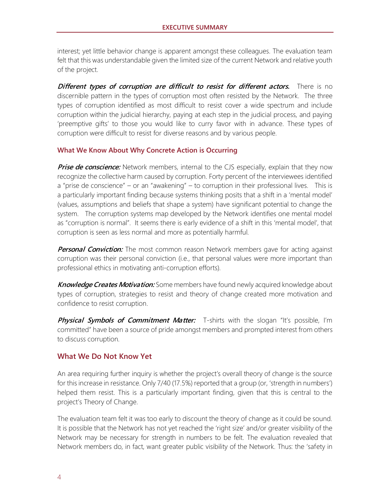interest; yet little behavior change is apparent amongst these colleagues. The evaluation team felt that this was understandable given the limited size of the current Network and relative youth of the project.

**Different types of corruption are difficult to resist for different actors.** There is no discernible pattern in the types of corruption most often resisted by the Network. The three types of corruption identified as most difficult to resist cover a wide spectrum and include corruption within the judicial hierarchy, paying at each step in the judicial process, and paying 'preemptive gifts' to those you would like to curry favor with in advance. These types of corruption were difficult to resist for diverse reasons and by various people.

#### **What We Know About Why Concrete Action is Occurring**

**Prise de conscience:** Network members, internal to the CJS especially, explain that they now recognize the collective harm caused by corruption. Forty percent of the interviewees identified a "prise de conscience" – or an "awakening" – to corruption in their professional lives. This is a particularly important finding because systems thinking posits that a shift in a 'mental model' (values, assumptions and beliefs that shape a system) have significant potential to change the system. The corruption systems map developed by the Network identifies one mental model as "corruption is normal". It seems there is early evidence of a shift in this 'mental model', that corruption is seen as less normal and more as potentially harmful.

**Personal Conviction:** The most common reason Network members gave for acting against corruption was their personal conviction (i.e., that personal values were more important than professional ethics in motivating anti-corruption efforts).

**Knowledge Creates Motivation:** Some members have found newly acquired knowledge about types of corruption, strategies to resist and theory of change created more motivation and confidence to resist corruption.

**Physical Symbols of Commitment Matter:** T-shirts with the slogan "It's possible, I'm committed" have been a source of pride amongst members and prompted interest from others to discuss corruption.

#### **What We Do Not Know Yet**

An area requiring further inquiry is whether the project's overall theory of change is the source for this increase in resistance. Only 7/40 (17.5%) reported that a group (or, 'strength in numbers') helped them resist. This is a particularly important finding, given that this is central to the project's Theory of Change.

The evaluation team felt it was too early to discount the theory of change as it could be sound. It is possible that the Network has not yet reached the 'right size' and/or greater visibility of the Network may be necessary for strength in numbers to be felt. The evaluation revealed that Network members do, in fact, want greater public visibility of the Network. Thus: the 'safety in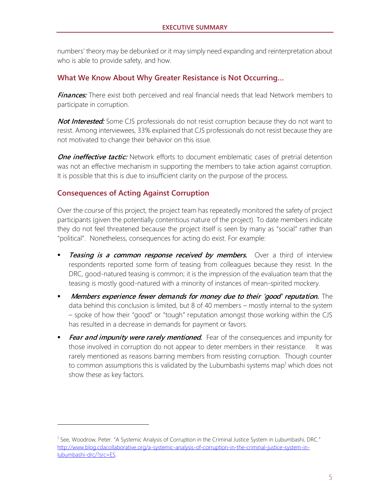numbers' theory may be debunked or it may simply need expanding and reinterpretation about who is able to provide safety, and how.

#### **What We Know About Why Greater Resistance is Not Occurring…**

**Finances:** There exist both perceived and real financial needs that lead Network members to participate in corruption.

**Not Interested:** Some CJS professionals do not resist corruption because they do not want to resist. Among interviewees, 33% explained that CJS professionals do not resist because they are not motivated to change their behavior on this issue.

**One ineffective tactic:** Network efforts to document emblematic cases of pretrial detention was not an effective mechanism in supporting the members to take action against corruption. It is possible that this is due to insufficient clarity on the purpose of the process.

#### **Consequences of Acting Against Corruption**

Over the course of this project, the project team has repeatedly monitored the safety of project participants (given the potentially contentious nature of the project). To date members indicate they do not feel threatened because the project itself is seen by many as "social" rather than "political". Nonetheless, consequences for acting do exist. For example:

- **Teasing is a common response received by members.** Over a third of interview respondents reported some form of teasing from colleagues because they resist. In the DRC, good-natured teasing is common; it is the impression of the evaluation team that the teasing is mostly good-natured with a minority of instances of mean-spirited mockery.
- **•** Members experience fewer demands for money due to their 'good' reputation. The data behind this conclusion is limited, but 8 of 40 members – mostly internal to the system – spoke of how their "good" or "tough" reputation amongst those working within the CJS has resulted in a decrease in demands for payment or favors.
- **Exar and impunity were rarely mentioned.** Fear of the consequences and impunity for those involved in corruption do not appear to deter members in their resistance. It was rarely mentioned as reasons barring members from resisting corruption. Though counter to common assumptions this is validated by the Lubumbashi systems map<sup>1</sup> which does not show these as key factors.

<sup>&</sup>lt;sup>1</sup> See, Woodrow, Peter. "A Systemic Analysis of Corruption in the Criminal Justice System in Lubumbashi, DRC." [http://www.blog.cdacollaborative.org/a-systemic-analysis-of-corruption-in-the-criminal-justice-system-in](http://www.blog.cdacollaborative.org/a-systemic-analysis-of-corruption-in-the-criminal-justice-system-in-lubumbashi-drc/?src=ES)[lubumbashi-drc/?src=ES.](http://www.blog.cdacollaborative.org/a-systemic-analysis-of-corruption-in-the-criminal-justice-system-in-lubumbashi-drc/?src=ES)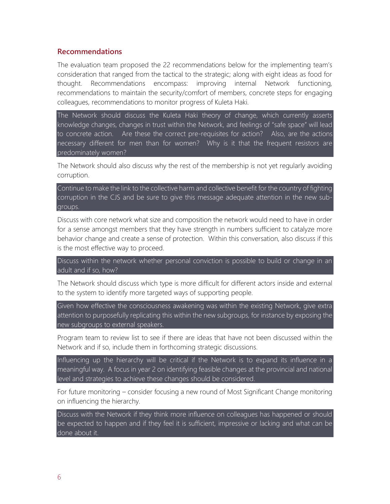#### **Recommendations**

The evaluation team proposed the 22 recommendations below for the implementing team's consideration that ranged from the tactical to the strategic; along with eight ideas as food for thought. Recommendations encompass: improving internal Network functioning, recommendations to maintain the security/comfort of members, concrete steps for engaging colleagues, recommendations to monitor progress of Kuleta Haki.

The Network should discuss the Kuleta Haki theory of change, which currently asserts knowledge changes, changes in trust within the Network, and feelings of "safe space" will lead to concrete action. Are these the correct pre-requisites for action? Also, are the actions necessary different for men than for women? Why is it that the frequent resistors are predominately women?

The Network should also discuss why the rest of the membership is not yet regularly avoiding corruption.

Continue to make the link to the collective harm and collective benefit for the country of fighting corruption in the CJS and be sure to give this message adequate attention in the new subgroups.

Discuss with core network what size and composition the network would need to have in order for a sense amongst members that they have strength in numbers sufficient to catalyze more behavior change and create a sense of protection. Within this conversation, also discuss if this is the most effective way to proceed.

Discuss within the network whether personal conviction is possible to build or change in an adult and if so, how?

The Network should discuss which type is more difficult for different actors inside and external to the system to identify more targeted ways of supporting people.

Given how effective the consciousness awakening was within the existing Network, give extra attention to purposefully replicating this within the new subgroups, for instance by exposing the new subgroups to external speakers.

Program team to review list to see if there are ideas that have not been discussed within the Network and if so, include them in forthcoming strategic discussions.

Influencing up the hierarchy will be critical if the Network is to expand its influence in a meaningful way. A focus in year 2 on identifying feasible changes at the provincial and national level and strategies to achieve these changes should be considered.

For future monitoring – consider focusing a new round of Most Significant Change monitoring on influencing the hierarchy.

Discuss with the Network if they think more influence on colleagues has happened or should be expected to happen and if they feel it is sufficient, impressive or lacking and what can be done about it.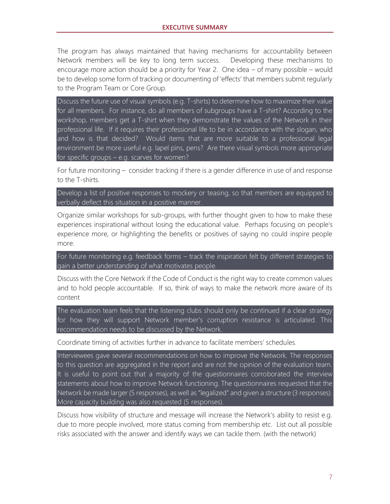The program has always maintained that having mechanisms for accountability between Network members will be key to long term success. Developing these mechanisms to encourage more action should be a priority for Year 2. One idea – of many possible – would be to develop some form of tracking or documenting of 'effects' that members submit regularly to the Program Team or Core Group.

Discuss the future use of visual symbols (e.g. T-shirts) to determine how to maximize their value for all members. For instance, do all members of subgroups have a T-shirt? According to the workshop, members get a T-shirt when they demonstrate the values of the Network in their professional life. If it requires their professional life to be in accordance with the slogan, who and how is that decided? Would items that are more suitable to a professional legal environment be more useful e.g. lapel pins, pens? Are there visual symbols more appropriate for specific groups – e.g. scarves for women?

For future monitoring – consider tracking if there is a gender difference in use of and response to the T-shirts.

Develop a list of positive responses to mockery or teasing, so that members are equipped to verbally deflect this situation in a positive manner.

Organize similar workshops for sub-groups, with further thought given to how to make these experiences inspirational without losing the educational value. Perhaps focusing on people's experience more, or highlighting the benefits or positives of saying no could inspire people more.

For future monitoring e.g. feedback forms – track the inspiration felt by different strategies to gain a better understanding of what motivates people.

Discuss with the Core Network if the Code of Conduct is the right way to create common values and to hold people accountable. If so, think of ways to make the network more aware of its content

The evaluation team feels that the listening clubs should only be continued if a clear strategy for how they will support Network member's corruption resistance is articulated. This recommendation needs to be discussed by the Network.

Coordinate timing of activities further in advance to facilitate members' schedules.

Interviewees gave several recommendations on how to improve the Network. The responses to this question are aggregated in the report and are not the opinion of the evaluation team. It is useful to point out that a majority of the questionnaires corroborated the interview statements about how to improve Network functioning. The questionnaires requested that the Network be made larger (5 responses), as well as "legalized" and given a structure (3 responses). More capacity building was also requested (5 responses).

Discuss how visibility of structure and message will increase the Network's ability to resist e.g. due to more people involved, more status coming from membership etc. List out all possible risks associated with the answer and identify ways we can tackle them. (with the network)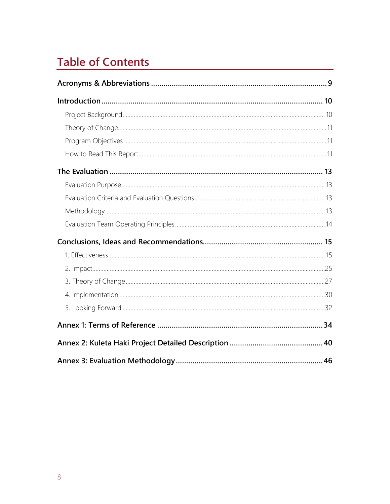## **Table of Contents**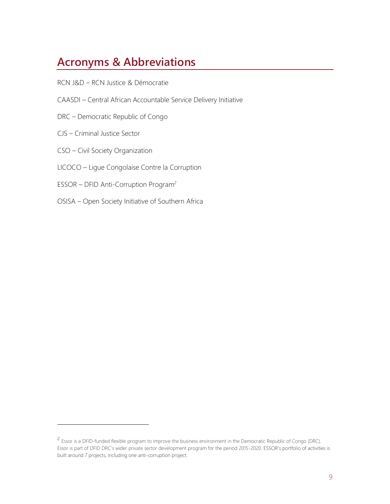## **Acronyms & Abbreviations**

- RCN J&D RCN Justice & Démocratie
- CAASDI Central African Accountable Service Delivery Initiative
- DRC Democratic Republic of Congo
- CJS Criminal Justice Sector

- CSO Civil Society Organization
- LICOCO Ligue Congolaise Contre la Corruption
- ESSOR DFID Anti-Corruption Program<sup>2</sup>
- OSISA Open Society Initiative of Southern Africa

<sup>&</sup>lt;sup>2</sup> Essor is a DFID-funded flexible program to improve the business environment in the Democratic Republic of Congo (DRC). Essor is part of DFID DRC's wider private sector development program for the period 2015-2020. ESSOR's portfolio of activities is built around 7 projects, including one anti-corruption project.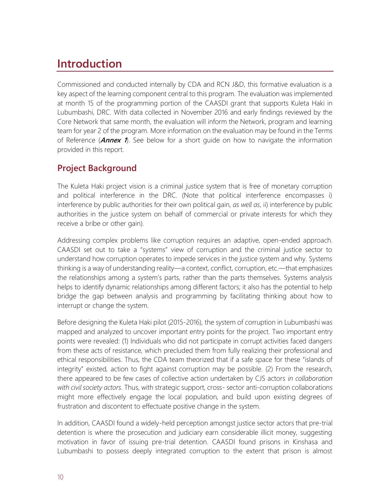## **Introduction**

Commissioned and conducted internally by CDA and RCN J&D, this formative evaluation is a key aspect of the learning component central to this program. The evaluation was implemented at month 15 of the programming portion of the CAASDI grant that supports Kuleta Haki in Lubumbashi, DRC. With data collected in November 2016 and early findings reviewed by the Core Network that same month, the evaluation will inform the Network, program and learning team for year 2 of the program. More information on the evaluation may be found in the Terms of Reference (**Annex 1**). See below for a short guide on how to navigate the information provided in this report.

## **Project Background**

The Kuleta Haki project vision is a criminal justice system that is free of monetary corruption and political interference in the DRC. (Note that political interference encompasses i) interference by public authorities for their own political gain, *as well as*, ii) interference by public authorities in the justice system on behalf of commercial or private interests for which they receive a bribe or other gain).

Addressing complex problems like corruption requires an adaptive, open-ended approach. CAASDI set out to take a "systems" view of corruption and the criminal justice sector to understand how corruption operates to impede services in the justice system and why. Systems thinking is a way of understanding reality—a context, conflict, corruption, etc.—that emphasizes the relationships among a system's parts, rather than the parts themselves. Systems analysis helps to identify dynamic relationships among different factors; it also has the potential to help bridge the gap between analysis and programming by facilitating thinking about how to interrupt or change the system.

Before designing the Kuleta Haki pilot (2015-2016), the system of corruption in Lubumbashi was mapped and analyzed to uncover important entry points for the project. Two important entry points were revealed: (1) Individuals who did not participate in corrupt activities faced dangers from these acts of resistance, which precluded them from fully realizing their professional and ethical responsibilities. Thus, the CDA team theorized that if a safe space for these "islands of integrity" existed, action to fight against corruption may be possible. (2) From the research, there appeared to be few cases of collective action undertaken by CJS actors *in collaboration with civil society actors.* Thus, with strategic support, cross- sector anti-corruption collaborations might more effectively engage the local population, and build upon existing degrees of frustration and discontent to effectuate positive change in the system.

In addition, CAASDI found a widely-held perception amongst justice sector actors that pre-trial detention is where the prosecution and judiciary earn considerable illicit money, suggesting motivation in favor of issuing pre-trial detention. CAASDI found prisons in Kinshasa and Lubumbashi to possess deeply integrated corruption to the extent that prison is almost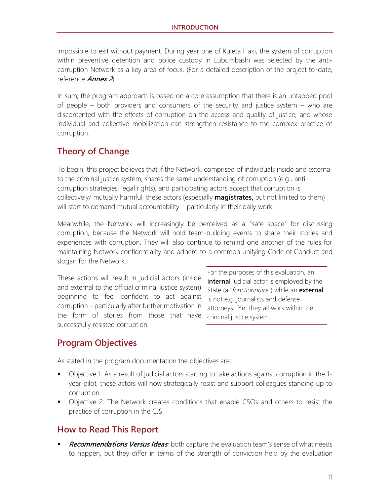impossible to exit without payment. During year one of Kuleta Haki, the system of corruption within preventive detention and police custody in Lubumbashi was selected by the anticorruption Network as a key area of focus. (For a detailed description of the project to-date, reference **Annex 2**).

In sum, the program approach is based on a core assumption that there is an untapped pool of people – both providers and consumers of the security and justice system – who are discontented with the effects of corruption on the access and quality of justice, and whose individual and collective mobilization can strengthen resistance to the complex practice of corruption.

## **Theory of Change**

To begin, this project believes that if the Network, comprised of individuals inside and external to the criminal justice system, shares the same understanding of corruption (e.g., anticorruption strategies, legal rights), and participating actors accept that corruption is collectively/ mutually harmful, these actors (especially **magistrates**, but not limited to them) will start to demand mutual accountability – particularly in their daily work.

Meanwhile, the Network will increasingly be perceived as a "safe space" for discussing corruption, because the Network will hold team-building events to share their stories and experiences with corruption. They will also continue to remind one another of the rules for maintaining Network confidentiality and adhere to a common unifying Code of Conduct and slogan for the Network.

These actions will result in judicial actors (inside and external to the official criminal justice system) beginning to feel confident to act against corruption – particularly after further motivation in the form of stories from those that have successfully resisted corruption.

For the purposes of this evaluation, an **internal** judicial actor is employed by the State (a "*fonctionnaire*") while an **external** is not e.g. journalists and defense attorneys. Yet they all work within the criminal justice system.

## **Program Objectives**

As stated in the program documentation the objectives are:

- Objective 1: As a result of judicial actors starting to take actions against corruption in the 1 year pilot, these actors will now strategically resist and support colleagues standing up to corruption.
- Objective 2: The Network creates conditions that enable CSOs and others to resist the practice of corruption in the CJS.

### **How to Read This Report**

**Recommendations Versus Ideas**: both capture the evaluation team's sense of what needs to happen, but they differ in terms of the strength of conviction held by the evaluation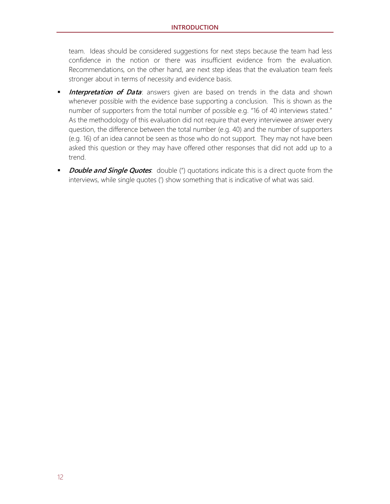team. Ideas should be considered suggestions for next steps because the team had less confidence in the notion or there was insufficient evidence from the evaluation. Recommendations, on the other hand, are next step ideas that the evaluation team feels stronger about in terms of necessity and evidence basis.

- **Interpretation of Data**: answers given are based on trends in the data and shown whenever possible with the evidence base supporting a conclusion. This is shown as the number of supporters from the total number of possible e.g. "16 of 40 interviews stated." As the methodology of this evaluation did not require that every interviewee answer every question, the difference between the total number (e.g. 40) and the number of supporters (e.g. 16) of an idea cannot be seen as those who do not support. They may not have been asked this question or they may have offered other responses that did not add up to a trend.
- **Double and Single Quotes**: double (") quotations indicate this is a direct quote from the interviews, while single quotes (') show something that is indicative of what was said.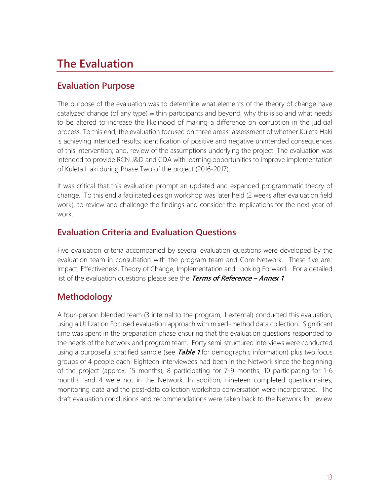## **The Evaluation**

## **Evaluation Purpose**

The purpose of the evaluation was to determine what elements of the theory of change have catalyzed change (of any type) within participants and beyond, why this is so and what needs to be altered to increase the likelihood of making a difference on corruption in the judicial process. To this end, the evaluation focused on three areas: assessment of whether Kuleta Haki is achieving intended results; identification of positive and negative unintended consequences of this intervention; and, review of the assumptions underlying the project. The evaluation was intended to provide RCN J&D and CDA with learning opportunities to improve implementation of Kuleta Haki during Phase Two of the project (2016-2017).

It was critical that this evaluation prompt an updated and expanded programmatic theory of change. To this end a facilitated design workshop was later held (2 weeks after evaluation field work), to review and challenge the findings and consider the implications for the next year of work.

## **Evaluation Criteria and Evaluation Questions**

Five evaluation criteria accompanied by several evaluation questions were developed by the evaluation team in consultation with the program team and Core Network. These five are: Impact, Effectiveness, Theory of Change, Implementation and Looking Forward. For a detailed list of the evaluation questions please see the **Terms of Reference – Annex 1**.

## **Methodology**

A four-person blended team (3 internal to the program, 1 external) conducted this evaluation, using a Utilization Focused evaluation approach with mixed-method data collection. Significant time was spent in the preparation phase ensuring that the evaluation questions responded to the needs of the Network and program team. Forty semi-structured interviews were conducted using a purposeful stratified sample (see **Table 1** for demographic information) plus two focus groups of 4 people each. Eighteen interviewees had been in the Network since the beginning of the project (approx. 15 months), 8 participating for 7-9 months, 10 participating for 1-6 months, and 4 were not in the Network. In addition, nineteen completed questionnaires, monitoring data and the post-data collection workshop conversation were incorporated. The draft evaluation conclusions and recommendations were taken back to the Network for review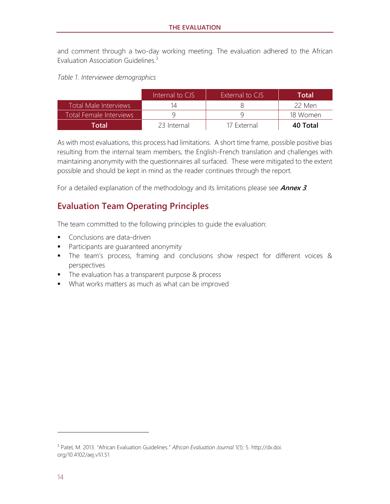and comment through a two-day working meeting. The evaluation adhered to the African Evaluation Association Guidelines.<sup>3</sup>

*Table 1. Interviewee demographics*

|                         | Internal to CJS | External to CJS | Total    |
|-------------------------|-----------------|-----------------|----------|
| Total Male Interviews   |                 |                 | 22 Men   |
| Total Female Interviews |                 |                 | 18 Women |
| Total                   | 23 Internal     | 17 External     | 40 Total |

As with most evaluations, this process had limitations. A short time frame, possible positive bias resulting from the internal team members, the English-French translation and challenges with maintaining anonymity with the questionnaires all surfaced. These were mitigated to the extent possible and should be kept in mind as the reader continues through the report.

For a detailed explanation of the methodology and its limitations please see **Annex 3**.

### **Evaluation Team Operating Principles**

The team committed to the following principles to guide the evaluation:

- **•** Conclusions are data-driven
- Participants are quaranteed anonymity
- **.** The team's process, framing and conclusions show respect for different voices & perspectives
- The evaluation has a transparent purpose & process
- What works matters as much as what can be improved

<sup>3</sup> Patel, M. 2013. "African Evaluation Guidelines." *African Evaluation Journal* 1(1): 5. http://dx.doi. org/10.4102/aej.v1i1.51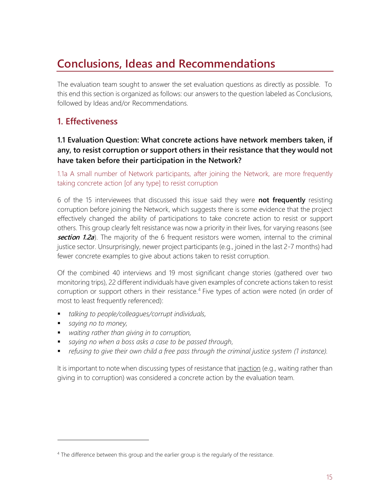## **Conclusions, Ideas and Recommendations**

The evaluation team sought to answer the set evaluation questions as directly as possible. To this end this section is organized as follows: our answers to the question labeled as Conclusions, followed by Ideas and/or Recommendations.

## **1. Effectiveness**

#### **1.1 Evaluation Question: What concrete actions have network members taken, if any, to resist corruption or support others in their resistance that they would not have taken before their participation in the Network?**

1.1a A small number of Network participants, after joining the Network, are more frequently taking concrete action [of any type] to resist corruption

6 of the 15 interviewees that discussed this issue said they were **not frequently** resisting corruption before joining the Network, which suggests there is some evidence that the project effectively changed the ability of participations to take concrete action to resist or support others. This group clearly felt resistance was now a priority in their lives, for varying reasons (see **section 1.2a**). The majority of the 6 frequent resistors were women, internal to the criminal justice sector. Unsurprisingly, newer project participants (e.g., joined in the last 2-7 months) had fewer concrete examples to give about actions taken to resist corruption.

Of the combined 40 interviews and 19 most significant change stories (gathered over two monitoring trips), 22 different individuals have given examples of concrete actions taken to resist corruption or support others in their resistance.<sup>4</sup> Five types of action were noted (in order of most to least frequently referenced):

- *talking to people/colleagues/corrupt individuals,*
- *saying no to money*,

- *waiting rather than giving in to corruption,*
- *saying no when a boss asks a case to be passed through*,
- refusing to give their own child a free pass through the criminal justice system (1 instance).

It is important to note when discussing types of resistance that *inaction* (e.g., waiting rather than giving in to corruption) was considered a concrete action by the evaluation team.

<sup>&</sup>lt;sup>4</sup> The difference between this group and the earlier group is the regularly of the resistance.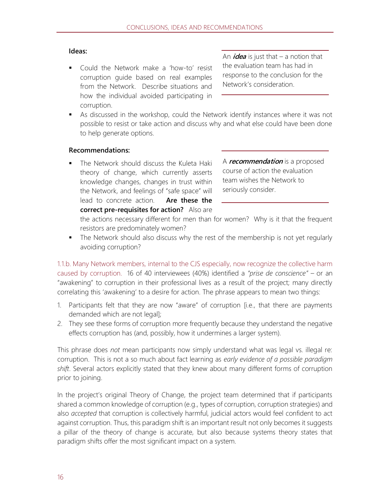#### **Ideas:**

■ Could the Network make a 'how-to' resist corruption guide based on real examples from the Network. Describe situations and how the individual avoided participating in corruption.

An  $\mathbf{i}$  dea is just that – a notion that the evaluation team has had in response to the conclusion for the Network's consideration.

■ As discussed in the workshop, could the Network identify instances where it was not possible to resist or take action and discuss why and what else could have been done to help generate options.

#### **Recommendations:**

**.** The Network should discuss the Kuleta Haki theory of change, which currently asserts knowledge changes, changes in trust within the Network, and feelings of "safe space" will lead to concrete action. **Are these the correct pre-requisites for action?** Also are

A **recommendation** is a proposed course of action the evaluation team wishes the Network to seriously consider.

the actions necessary different for men than for women? Why is it that the frequent resistors are predominately women?

**•** The Network should also discuss why the rest of the membership is not yet regularly avoiding corruption?

1.1.b. Many Network members, internal to the CJS especially, now recognize the collective harm caused by corruption. 16 of 40 interviewees (40%) identified a *"prise de conscience"* – or an "awakening" to corruption in their professional lives as a result of the project; many directly correlating this 'awakening' to a desire for action. The phrase appears to mean two things:

- 1. Participants felt that they are now "aware" of corruption [i.e., that there are payments demanded which are not legal];
- 2. They see these forms of corruption more frequently because they understand the negative effects corruption has (and, possibly, how it undermines a larger system).

This phrase does *not* mean participants now simply understand what was legal vs. illegal re: corruption. This is not a so much about fact learning as *early evidence of a possible paradigm shift*. Several actors explicitly stated that they knew about many different forms of corruption prior to joining.

In the project's original Theory of Change, the project team determined that if participants shared a common knowledge of corruption (e.g., types of corruption, corruption strategies) and also *accepted* that corruption is collectively harmful, judicial actors would feel confident to act against corruption. Thus, this paradigm shift is an important result not only becomes it suggests a pillar of the theory of change is accurate, but also because systems theory states that paradigm shifts offer the most significant impact on a system.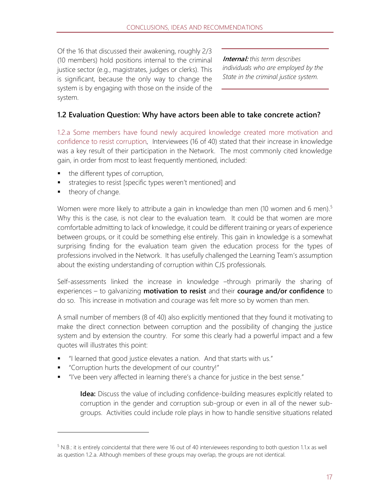Of the 16 that discussed their awakening, roughly 2/3 (10 members) hold positions internal to the criminal justice sector (e.g., magistrates, judges or clerks). This is significant, because the only way to change the system is by engaging with those on the inside of the system.

**Internal:** *this term describes individuals who are employed by the State in the criminal justice system.*

#### **1.2 Evaluation Question: Why have actors been able to take concrete action?**

1.2.a Some members have found newly acquired knowledge created more motivation and confidence to resist corruption*.* Interviewees (16 of 40) stated that their increase in knowledge was a key result of their participation in the Network. The most commonly cited knowledge gain, in order from most to least frequently mentioned, included:

- the different types of corruption,
- strategies to resist [specific types weren't mentioned] and
- theory of change.

Women were more likely to attribute a gain in knowledge than men (10 women and 6 men).<sup>5</sup> Why this is the case, is not clear to the evaluation team. It could be that women are more comfortable admitting to lack of knowledge, it could be different training or years of experience between groups, or it could be something else entirely. This gain in knowledge is a somewhat surprising finding for the evaluation team given the education process for the types of professions involved in the Network. It has usefully challenged the Learning Team's assumption about the existing understanding of corruption within CJS professionals.

Self-assessments linked the increase in knowledge –through primarily the sharing of experiences – to galvanizing **motivation to resist** and their **courage and/or confidence** to do so. This increase in motivation and courage was felt more so by women than men.

A small number of members (8 of 40) also explicitly mentioned that they found it motivating to make the direct connection between corruption and the possibility of changing the justice system and by extension the country. For some this clearly had a powerful impact and a few quotes will illustrates this point:

- "I learned that good justice elevates a nation. And that starts with us."
- "Corruption hurts the development of our country!"
- "I've been very affected in learning there's a chance for justice in the best sense."

**Idea:** Discuss the value of including confidence-building measures explicitly related to corruption in the gender and corruption sub-group or even in all of the newer subgroups. Activities could include role plays in how to handle sensitive situations related

 $5$  N.B.: it is entirely coincidental that there were 16 out of 40 interviewees responding to both question 1.1.x as well as question 1.2.a. Although members of these groups may overlap, the groups are not identical.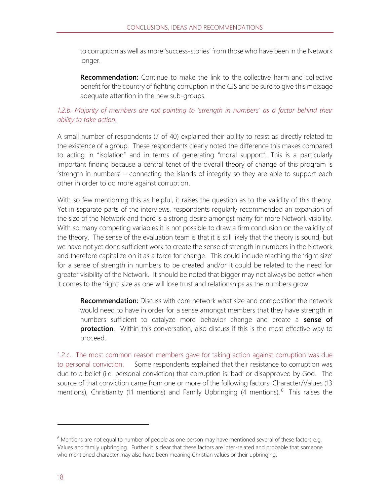to corruption as well as more 'success-stories' from those who have been in the Network longer.

**Recommendation:** Continue to make the link to the collective harm and collective benefit for the country of fighting corruption in the CJS and be sure to give this message adequate attention in the new sub-groups.

#### *1.2.b. Majority of members are not pointing to 'strength in numbers' as a factor behind their ability to take action.*

A small number of respondents (7 of 40) explained their ability to resist as directly related to the existence of a group. These respondents clearly noted the difference this makes compared to acting in "isolation" and in terms of generating "moral support". This is a particularly important finding because a central tenet of the overall theory of change of this program is 'strength in numbers' – connecting the islands of integrity so they are able to support each other in order to do more against corruption.

With so few mentioning this as helpful, it raises the question as to the validity of this theory. Yet in separate parts of the interviews, respondents regularly recommended an expansion of the size of the Network and there is a strong desire amongst many for more Network visibility. With so many competing variables it is not possible to draw a firm conclusion on the validity of the theory. The sense of the evaluation team is that it is still likely that the theory is sound, but we have not yet done sufficient work to create the sense of strength in numbers in the Network and therefore capitalize on it as a force for change. This could include reaching the 'right size' for a sense of strength in numbers to be created and/or it could be related to the need for greater visibility of the Network. It should be noted that bigger may not always be better when it comes to the 'right' size as one will lose trust and relationships as the numbers grow.

**Recommendation:** Discuss with core network what size and composition the network would need to have in order for a sense amongst members that they have strength in numbers sufficient to catalyze more behavior change and create a **sense of protection**. Within this conversation, also discuss if this is the most effective way to proceed.

1.2.c. The most common reason members gave for taking action against corruption was due to personal conviction.Some respondents explained that their resistance to corruption was due to a belief (i.e. personal conviction) that corruption is 'bad' or disapproved by God. The source of that conviction came from one or more of the following factors: Character/Values (13 mentions), Christianity (11 mentions) and Family Upbringing (4 mentions).<sup>6</sup> This raises the

 $6$  Mentions are not equal to number of people as one person may have mentioned several of these factors e.g. Values and family upbringing. Further it is clear that these factors are inter-related and probable that someone who mentioned character may also have been meaning Christian values or their upbringing.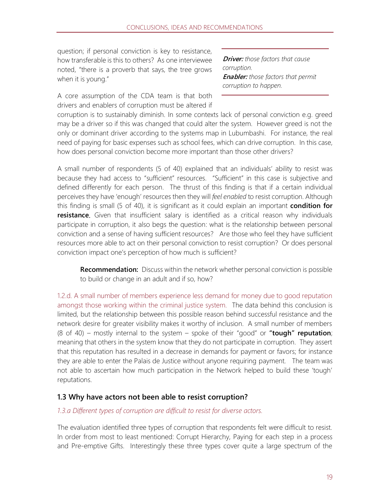question; if personal conviction is key to resistance, how transferable is this to others? As one interviewee noted, "there is a proverb that says, the tree grows when it is young."

A core assumption of the CDA team is that both drivers and enablers of corruption must be altered if

**Driver:** *those factors that cause corruption.* **Enabler:** *those factors that permit corruption to happen.* 

corruption is to sustainably diminish. In some contexts lack of personal conviction e.g. greed may be a driver so if this was changed that could alter the system. However greed is not the only or dominant driver according to the systems map in Lubumbashi. For instance, the real need of paying for basic expenses such as school fees, which can drive corruption. In this case, how does personal conviction become more important than those other drivers?

A small number of respondents (5 of 40) explained that an individuals' ability to resist was because they had access to "sufficient" resources. "Sufficient" in this case is subjective and defined differently for each person. The thrust of this finding is that if a certain individual perceives they have 'enough' resources then they will *feel enabled* to resist corruption. Although this finding is small (5 of 40), it is significant as it could explain an important **condition for**  resistance. Given that insufficient salary is identified as a critical reason why individuals participate in corruption, it also begs the question: what is the relationship between personal conviction and a sense of having sufficient resources? Are those who feel they have sufficient resources more able to act on their personal conviction to resist corruption? Or does personal conviction impact one's perception of how much is sufficient?

**Recommendation:** Discuss within the network whether personal conviction is possible to build or change in an adult and if so, how?

1.2.d. A small number of members experience less demand for money due to good reputation amongst those working within the criminal justice system.The data behind this conclusion is limited, but the relationship between this possible reason behind successful resistance and the network desire for greater visibility makes it worthy of inclusion. A small number of members (8 of 40) – mostly internal to the system – spoke of their "good" or **"tough" reputation**; meaning that others in the system know that they do not participate in corruption. They assert that this reputation has resulted in a decrease in demands for payment or favors; for instance they are able to enter the Palais de Justice without anyone requiring payment. The team was not able to ascertain how much participation in the Network helped to build these 'tough' reputations.

#### **1.3 Why have actors not been able to resist corruption?**

#### *1.3.a Different types of corruption are difficult to resist for diverse actors.*

The evaluation identified three types of corruption that respondents felt were difficult to resist. In order from most to least mentioned: Corrupt Hierarchy, Paying for each step in a process and Pre-emptive Gifts. Interestingly these three types cover quite a large spectrum of the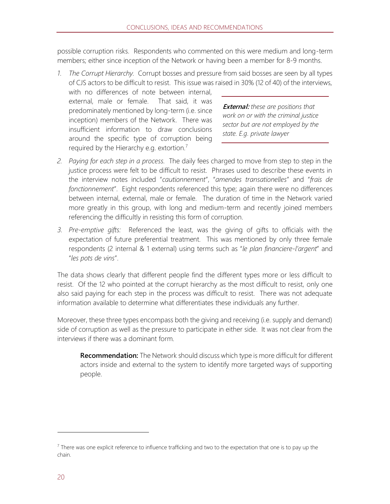possible corruption risks. Respondents who commented on this were medium and long-term members; either since inception of the Network or having been a member for 8-9 months.

*1. The Corrupt Hierarchy.* Corrupt bosses and pressure from said bosses are seen by all types of CJS actors to be difficult to resist. This issue was raised in 30% (12 of 40) of the interviews, with no differences of note between internal, external, male or female. That said, it was predominately mentioned by long-term (i.e. since inception) members of the Network. There was insufficient information to draw conclusions around the specific type of corruption being **External:** *these are positions that work on or with the criminal justice sector but are not employed by the state. E.g. private lawyer*

required by the Hierarchy e.g. extortion.<sup>7</sup>

- *2. Paying for each step in a process.* The daily fees charged to move from step to step in the justice process were felt to be difficult to resist. Phrases used to describe these events in the interview notes included "*cautionnement*", "*amendes transationelles*" and "*frais de fonctionnement*". Eight respondents referenced this type; again there were no differences between internal, external, male or female. The duration of time in the Network varied more greatly in this group, with long and medium-term and recently joined members referencing the difficultly in resisting this form of corruption.
- *3. Pre-emptive gifts:* Referenced the least, was the giving of gifts to officials with the expectation of future preferential treatment. This was mentioned by only three female respondents (2 internal & 1 external) using terms such as "*le plan financiere-l'argent*" and "*les pots de vins*".

The data shows clearly that different people find the different types more or less difficult to resist. Of the 12 who pointed at the corrupt hierarchy as the most difficult to resist, only one also said paying for each step in the process was difficult to resist. There was not adequate information available to determine what differentiates these individuals any further.

Moreover, these three types encompass both the giving and receiving (i.e. supply and demand) side of corruption as well as the pressure to participate in either side. It was not clear from the interviews if there was a dominant form.

**Recommendation:** The Network should discuss which type is more difficult for different actors inside and external to the system to identify more targeted ways of supporting people.

 $^7$  There was one explicit reference to influence trafficking and two to the expectation that one is to pay up the chain.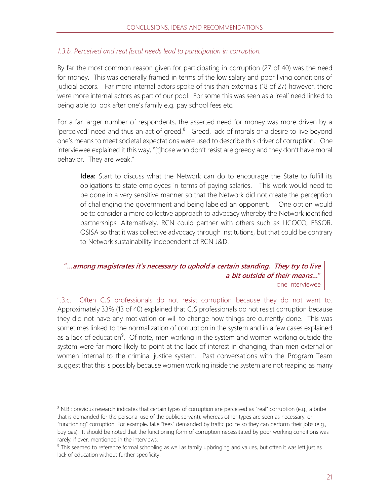#### *1.3.b. Perceived and real fiscal needs lead to participation in corruption.*

By far the most common reason given for participating in corruption (27 of 40) was the need for money. This was generally framed in terms of the low salary and poor living conditions of judicial actors. Far more internal actors spoke of this than externals (18 of 27) however, there were more internal actors as part of our pool. For some this was seen as a 'real' need linked to being able to look after one's family e.g. pay school fees etc.

For a far larger number of respondents, the asserted need for money was more driven by a 'perceived' need and thus an act of greed. $8$  Greed, lack of morals or a desire to live beyond one's means to meet societal expectations were used to describe this driver of corruption. One interviewee explained it this way, "[t]hose who don't resist are greedy and they don't have moral behavior. They are weak."

**Idea:** Start to discuss what the Network can do to encourage the State to fulfill its obligations to state employees in terms of paying salaries. This work would need to be done in a very sensitive manner so that the Network did not create the perception of challenging the government and being labeled an opponent. One option would be to consider a more collective approach to advocacy whereby the Network identified partnerships. Alternatively, RCN could partner with others such as LICOCO, ESSOR, OSISA so that it was collective advocacy through institutions, but that could be contrary to Network sustainability independent of RCN J&D.

#### **"…among magistrates it's necessary to uphold a certain standing. They try to live a bit outside of their means…"**  one interviewee

1.3.c. Often CJS professionals do not resist corruption because they do not want to. Approximately 33% (13 of 40) explained that CJS professionals do not resist corruption because they did not have any motivation or will to change how things are currently done. This was sometimes linked to the normalization of corruption in the system and in a few cases explained as a lack of education<sup>9</sup>. Of note, men working in the system and women working outside the system were far more likely to point at the lack of interest in changing, than men external or women internal to the criminal justice system. Past conversations with the Program Team suggest that this is possibly because women working inside the system are not reaping as many

 $8$  N.B.: previous research indicates that certain types of corruption are perceived as "real" corruption (e.g., a bribe that is demanded for the personal use of the public servant); whereas other types are seen as necessary, or "functioning" corruption. For example, fake "fees" demanded by traffic police so they can perform their jobs (e.g., buy gas). It should be noted that the functioning form of corruption necessitated by poor working conditions was rarely, if ever, mentioned in the interviews.

<sup>&</sup>lt;sup>9</sup> This seemed to reference formal schooling as well as family upbringing and values, but often it was left just as lack of education without further specificity.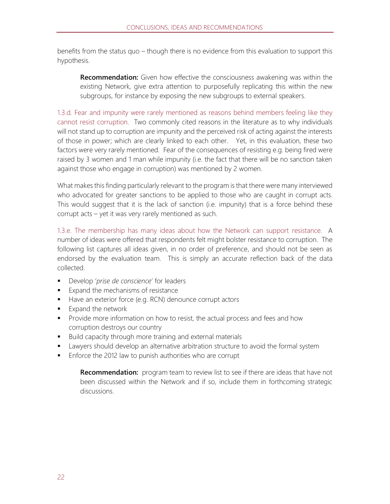benefits from the status quo – though there is no evidence from this evaluation to support this hypothesis.

**Recommendation:** Given how effective the consciousness awakening was within the existing Network, give extra attention to purposefully replicating this within the new subgroups, for instance by exposing the new subgroups to external speakers.

1.3.d. Fear and impunity were rarely mentioned as reasons behind members feeling like they cannot resist corruption.Two commonly cited reasons in the literature as to why individuals will not stand up to corruption are impunity and the perceived risk of acting against the interests of those in power; which are clearly linked to each other. Yet, in this evaluation, these two factors were very rarely mentioned. Fear of the consequences of resisting e.g. being fired were raised by 3 women and 1 man while impunity (i.e. the fact that there will be no sanction taken against those who engage in corruption) was mentioned by 2 women.

What makes this finding particularly relevant to the program is that there were many interviewed who advocated for greater sanctions to be applied to those who are caught in corrupt acts. This would suggest that it is the lack of sanction (i.e. impunity) that is a force behind these corrupt acts – yet it was very rarely mentioned as such.

1.3.e. The membership has many ideas about how the Network can support resistance. A number of ideas were offered that respondents felt might bolster resistance to corruption. The following list captures all ideas given, in no order of preference, and should not be seen as endorsed by the evaluation team. This is simply an accurate reflection back of the data collected.

- Develop '*prise de conscience*' for leaders
- Expand the mechanisms of resistance
- Have an exterior force (e.g. RCN) denounce corrupt actors
- Expand the network
- **•** Provide more information on how to resist, the actual process and fees and how corruption destroys our country
- Build capacity through more training and external materials
- **■** Lawyers should develop an alternative arbitration structure to avoid the formal system
- Enforce the 2012 law to punish authorities who are corrupt

**Recommendation:** program team to review list to see if there are ideas that have not been discussed within the Network and if so, include them in forthcoming strategic discussions.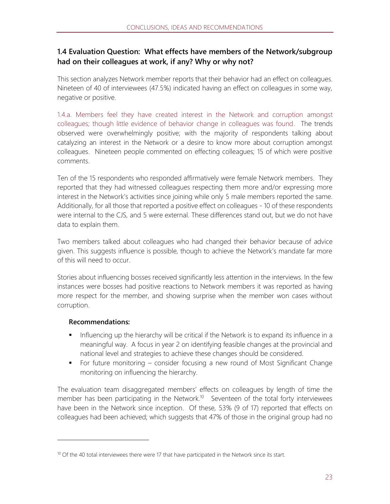#### **1.4 Evaluation Question: What effects have members of the Network/subgroup had on their colleagues at work, if any? Why or why not?**

This section analyzes Network member reports that their behavior had an effect on colleagues. Nineteen of 40 of interviewees (47.5%) indicated having an effect on colleagues in some way, negative or positive.

1.4.a. Members feel they have created interest in the Network and corruption amongst colleagues; though little evidence of behavior change in colleagues was found.The trends observed were overwhelmingly positive; with the majority of respondents talking about catalyzing an interest in the Network or a desire to know more about corruption amongst colleagues. Nineteen people commented on effecting colleagues; 15 of which were positive comments.

Ten of the 15 respondents who responded affirmatively were female Network members. They reported that they had witnessed colleagues respecting them more and/or expressing more interest in the Network's activities since joining while only 5 male members reported the same. Additionally, for all those that reported a positive effect on colleagues - 10 of these respondents were internal to the CJS, and 5 were external. These differences stand out, but we do not have data to explain them.

Two members talked about colleagues who had changed their behavior because of advice given. This suggests influence is possible, though to achieve the Network's mandate far more of this will need to occur.

Stories about influencing bosses received significantly less attention in the interviews. In the few instances were bosses had positive reactions to Network members it was reported as having more respect for the member, and showing surprise when the member won cases without corruption.

#### **Recommendations:**

- **■** Influencing up the hierarchy will be critical if the Network is to expand its influence in a meaningful way. A focus in year 2 on identifying feasible changes at the provincial and national level and strategies to achieve these changes should be considered.
- For future monitoring consider focusing a new round of Most Significant Change monitoring on influencing the hierarchy.

The evaluation team disaggregated members' effects on colleagues by length of time the member has been participating in the Network.<sup>10</sup> Seventeen of the total forty interviewees have been in the Network since inception. Of these, 53% (9 of 17) reported that effects on colleagues had been achieved; which suggests that 47% of those in the original group had no

 $10$  Of the 40 total interviewees there were 17 that have participated in the Network since its start.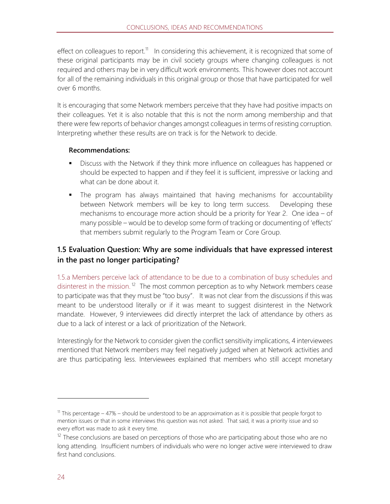effect on colleagues to report.<sup>11</sup> In considering this achievement, it is recognized that some of these original participants may be in civil society groups where changing colleagues is not required and others may be in very difficult work environments. This however does not account for all of the remaining individuals in this original group or those that have participated for well over 6 months.

It is encouraging that some Network members perceive that they have had positive impacts on their colleagues. Yet it is also notable that this is not the norm among membership and that there were few reports of behavior changes amongst colleagues in terms of resisting corruption. Interpreting whether these results are on track is for the Network to decide.

#### **Recommendations:**

- **■** Discuss with the Network if they think more influence on colleagues has happened or should be expected to happen and if they feel it is sufficient, impressive or lacking and what can be done about it.
- **•** The program has always maintained that having mechanisms for accountability between Network members will be key to long term success. Developing these mechanisms to encourage more action should be a priority for Year 2. One idea – of many possible – would be to develop some form of tracking or documenting of 'effects' that members submit regularly to the Program Team or Core Group.

#### **1.5 Evaluation Question: Why are some individuals that have expressed interest in the past no longer participating?**

1.5.a Members perceive lack of attendance to be due to a combination of busy schedules and disinterest in the mission.<sup>12</sup> The most common perception as to why Network members cease to participate was that they must be "too busy". It was not clear from the discussions if this was meant to be understood literally or if it was meant to suggest disinterest in the Network mandate. However, 9 interviewees did directly interpret the lack of attendance by others as due to a lack of interest or a lack of prioritization of the Network.

Interestingly for the Network to consider given the conflict sensitivity implications, 4 interviewees mentioned that Network members may feel negatively judged when at Network activities and are thus participating less. Interviewees explained that members who still accept monetary

<sup>&</sup>lt;sup>11</sup> This percentage – 47% – should be understood to be an approximation as it is possible that people forgot to mention issues or that in some interviews this question was not asked. That said, it was a priority issue and so every effort was made to ask it every time.

 $12$  These conclusions are based on perceptions of those who are participating about those who are no long attending. Insufficient numbers of individuals who were no longer active were interviewed to draw first hand conclusions.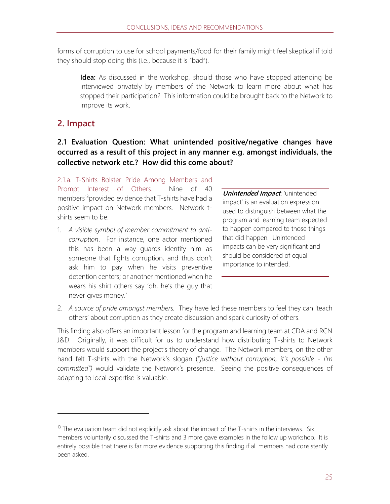forms of corruption to use for school payments/food for their family might feel skeptical if told they should stop doing this (i.e., because it is "bad").

**Idea:** As discussed in the workshop, should those who have stopped attending be interviewed privately by members of the Network to learn more about what has stopped their participation? This information could be brought back to the Network to improve its work.

### **2. Impact**

#### **2.1 Evaluation Question: What unintended positive/negative changes have occurred as a result of this project in any manner e.g. amongst individuals, the collective network etc.? How did this come about?**

2.1.a. T-Shirts Bolster Pride Among Members and Prompt Interest of Others. Nine of 40 members<sup>13</sup> provided evidence that T-shirts have had a positive impact on Network members. Network tshirts seem to be:

1. *A visible symbol of member commitment to anticorruption*. For instance, one actor mentioned this has been a way guards identify him as someone that fights corruption, and thus don't ask him to pay when he visits preventive detention centers; or another mentioned when he wears his shirt others say 'oh, he's the guy that never gives money.'

**Unintended Impact**: 'unintended impact' is an evaluation expression used to distinguish between what the program and learning team expected to happen compared to those things that did happen. Unintended impacts can be very significant and should be considered of equal importance to intended.

2. *A source of pride amongst members.* They have led these members to feel they can 'teach others' about corruption as they create discussion and spark curiosity of others.

This finding also offers an important lesson for the program and learning team at CDA and RCN J&D. Originally, it was difficult for us to understand how distributing T-shirts to Network members would support the project's theory of change. The Network members, on the other hand felt T-shirts with the Network's slogan ("*justice without corruption, it's possible - I'm committed")* would validate the Network's presence. Seeing the positive consequences of adapting to local expertise is valuable.

 $13$  The evaluation team did not explicitly ask about the impact of the T-shirts in the interviews. Six members voluntarily discussed the T-shirts and 3 more gave examples in the follow up workshop. It is entirely possible that there is far more evidence supporting this finding if all members had consistently been asked.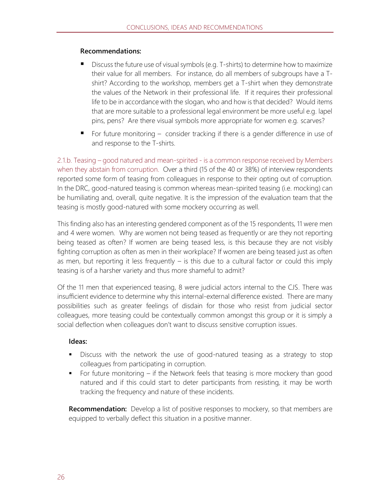#### **Recommendations:**

- Discuss the future use of visual symbols (e.g. T-shirts) to determine how to maximize their value for all members. For instance, do all members of subgroups have a Tshirt? According to the workshop, members get a T-shirt when they demonstrate the values of the Network in their professional life. If it requires their professional life to be in accordance with the slogan, who and how is that decided? Would items that are more suitable to a professional legal environment be more useful e.g. lapel pins, pens? Are there visual symbols more appropriate for women e.g. scarves?
- For future monitoring consider tracking if there is a gender difference in use of and response to the T-shirts.

2.1.b. Teasing – good natured and mean-spirited - is a common response received by Members when they abstain from corruption.Over a third (15 of the 40 or 38%) of interview respondents reported some form of teasing from colleagues in response to their opting out of corruption. In the DRC, good-natured teasing is common whereas mean-spirited teasing (i.e. mocking) can be humiliating and, overall, quite negative. It is the impression of the evaluation team that the teasing is mostly good-natured with some mockery occurring as well.

This finding also has an interesting gendered component as of the 15 respondents, 11 were men and 4 were women. Why are women not being teased as frequently or are they not reporting being teased as often? If women are being teased less, is this because they are not visibly fighting corruption as often as men in their workplace? If women are being teased just as often as men, but reporting it less frequently  $-$  is this due to a cultural factor or could this imply teasing is of a harsher variety and thus more shameful to admit?

Of the 11 men that experienced teasing, 8 were judicial actors internal to the CJS. There was insufficient evidence to determine why this internal-external difference existed. There are many possibilities such as greater feelings of disdain for those who resist from judicial sector colleagues, more teasing could be contextually common amongst this group or it is simply a social deflection when colleagues don't want to discuss sensitive corruption issues.

#### **Ideas:**

- **EXED** Discuss with the network the use of good-natured teasing as a strategy to stop colleagues from participating in corruption.
- For future monitoring if the Network feels that teasing is more mockery than good natured and if this could start to deter participants from resisting, it may be worth tracking the frequency and nature of these incidents.

**Recommendation:** Develop a list of positive responses to mockery, so that members are equipped to verbally deflect this situation in a positive manner.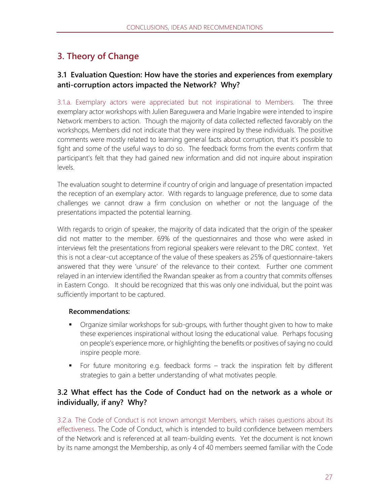## **3. Theory of Change**

#### **3.1 Evaluation Question: How have the stories and experiences from exemplary anti-corruption actors impacted the Network? Why?**

3.1.a. Exemplary actors were appreciated but not inspirational to Members.The three exemplary actor workshops with Julien Bareguwera and Marie Ingabire were intended to inspire Network members to action. Though the majority of data collected reflected favorably on the workshops, Members did not indicate that they were inspired by these individuals. The positive comments were mostly related to learning general facts about corruption, that it's possible to fight and some of the useful ways to do so. The feedback forms from the events confirm that participant's felt that they had gained new information and did not inquire about inspiration levels.

The evaluation sought to determine if country of origin and language of presentation impacted the reception of an exemplary actor. With regards to language preference, due to some data challenges we cannot draw a firm conclusion on whether or not the language of the presentations impacted the potential learning.

With regards to origin of speaker, the majority of data indicated that the origin of the speaker did not matter to the member. 69% of the questionnaires and those who were asked in interviews felt the presentations from regional speakers were relevant to the DRC context. Yet this is not a clear-cut acceptance of the value of these speakers as 25% of questionnaire-takers answered that they were 'unsure' of the relevance to their context. Further one comment relayed in an interview identified the Rwandan speaker as from a country that commits offenses in Eastern Congo. It should be recognized that this was only one individual, but the point was sufficiently important to be captured.

#### **Recommendations:**

- Organize similar workshops for sub-groups, with further thought given to how to make these experiences inspirational without losing the educational value. Perhaps focusing on people's experience more, or highlighting the benefits or positives of saying no could inspire people more.
- For future monitoring e.g. feedback forms track the inspiration felt by different strategies to gain a better understanding of what motivates people.

#### **3.2 What effect has the Code of Conduct had on the network as a whole or individually, if any? Why?**

3.2.a. The Code of Conduct is not known amongst Members, which raises questions about its effectiveness. The Code of Conduct, which is intended to build confidence between members of the Network and is referenced at all team-building events. Yet the document is not known by its name amongst the Membership, as only 4 of 40 members seemed familiar with the Code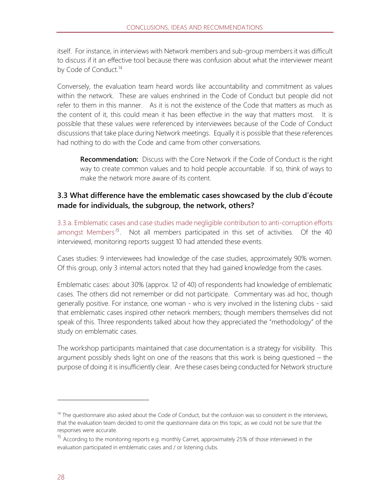itself. For instance, in interviews with Network members and sub-group members it was difficult to discuss if it an effective tool because there was confusion about what the interviewer meant by Code of Conduct.<sup>14</sup>

Conversely, the evaluation team heard words like accountability and commitment as values within the network. These are values enshrined in the Code of Conduct but people did not refer to them in this manner. As it is not the existence of the Code that matters as much as the content of it, this could mean it has been effective in the way that matters most. It is possible that these values were referenced by interviewees because of the Code of Conduct discussions that take place during Network meetings. Equally it is possible that these references had nothing to do with the Code and came from other conversations.

**Recommendation:** Discuss with the Core Network if the Code of Conduct is the right way to create common values and to hold people accountable. If so, think of ways to make the network more aware of its content.

#### **3.3 What difference have the emblematic cases showcased by the club d'écoute made for individuals, the subgroup, the network, others?**

3.3.a. Emblematic cases and case studies made negligible contribution to anti-corruption efforts amongst Members<sup>15</sup>. Not all members participated in this set of activities. Of the 40 interviewed, monitoring reports suggest 10 had attended these events.

Cases studies: 9 interviewees had knowledge of the case studies, approximately 90% women. Of this group, only 3 internal actors noted that they had gained knowledge from the cases.

Emblematic cases: about 30% (approx. 12 of 40) of respondents had knowledge of emblematic cases. The others did not remember or did not participate. Commentary was ad hoc, though generally positive. For instance, one woman - who is very involved in the listening clubs - said that emblematic cases inspired other network members; though members themselves did not speak of this. Three respondents talked about how they appreciated the "methodology" of the study on emblematic cases.

The workshop participants maintained that case documentation is a strategy for visibility. This argument possibly sheds light on one of the reasons that this work is being questioned – the purpose of doing it is insufficiently clear. Are these cases being conducted for Network structure

ı

 $14$  The questionnaire also asked about the Code of Conduct, but the confusion was so consistent in the interviews, that the evaluation team decided to omit the questionnaire data on this topic, as we could not be sure that the responses were accurate.

<sup>&</sup>lt;sup>15</sup> According to the monitoring reports e.g. monthly Carnet, approximately 25% of those interviewed in the evaluation participated in emblematic cases and / or listening clubs.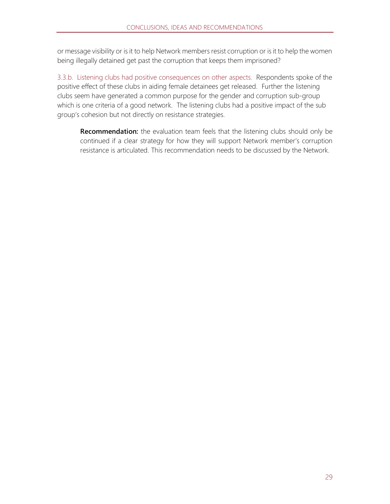or message visibility or is it to help Network members resist corruption or is it to help the women being illegally detained get past the corruption that keeps them imprisoned?

3.3.b. Listening clubs had positive consequences on other aspects. Respondents spoke of the positive effect of these clubs in aiding female detainees get released. Further the listening clubs seem have generated a common purpose for the gender and corruption sub-group which is one criteria of a good network. The listening clubs had a positive impact of the sub group's cohesion but not directly on resistance strategies.

**Recommendation:** the evaluation team feels that the listening clubs should only be continued if a clear strategy for how they will support Network member's corruption resistance is articulated. This recommendation needs to be discussed by the Network.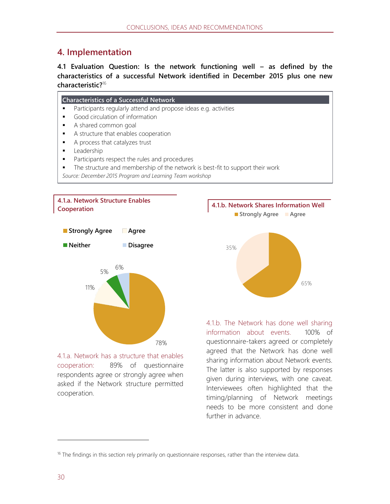## **4. Implementation**

**4.1 Evaluation Question: Is the network functioning well – as defined by the characteristics of a successful Network identified in December 2015 plus one new characteristic?**<sup>16</sup>



**4.1.a. Network Structure Enables Cooperation**



4.1.a. Network has a structure that enables cooperation:89% of questionnaire respondents agree or strongly agree when asked if the Network structure permitted cooperation.



4.1.b. The Network has done well sharing information about events.100% of questionnaire-takers agreed or completely agreed that the Network has done well sharing information about Network events. The latter is also supported by responses given during interviews, with one caveat. Interviewees often highlighted that the timing/planning of Network meetings needs to be more consistent and done further in advance.

 $16$  The findings in this section rely primarily on questionnaire responses, rather than the interview data.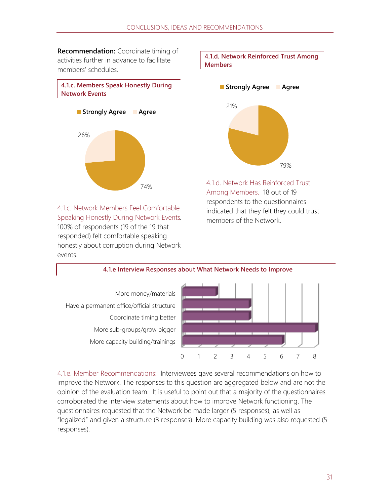**Recommendation:** Coordinate timing of activities further in advance to facilitate members' schedules.





4.1.c. Network Members Feel Comfortable Speaking Honestly During Network Events*.*  100% of respondents (19 of the 19 that responded) felt comfortable speaking honestly about corruption during Network events.





4.1.d. Network Has Reinforced Trust Among Members.18 out of 19 respondents to the questionnaires indicated that they felt they could trust members of the Network.



4.1.e. Member Recommendations: Interviewees gave several recommendations on how to improve the Network. The responses to this question are aggregated below and are not the opinion of the evaluation team. It is useful to point out that a majority of the questionnaires corroborated the interview statements about how to improve Network functioning. The questionnaires requested that the Network be made larger (5 responses), as well as "legalized" and given a structure (3 responses). More capacity building was also requested (5 responses).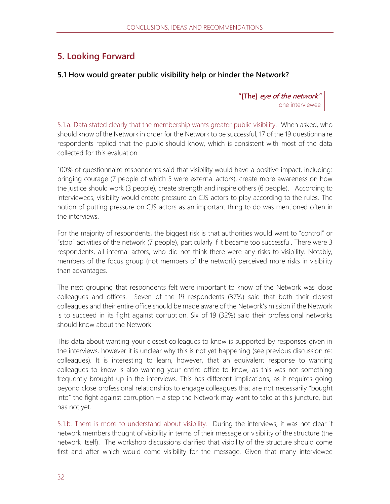### **5. Looking Forward**

#### **5.1 How would greater public visibility help or hinder the Network?**

**"[The] eye of the network"** one interviewee

5.1.a. Data stated clearly that the membership wants greater public visibility.When asked, who should know of the Network in order for the Network to be successful, 17 of the 19 questionnaire respondents replied that the public should know, which is consistent with most of the data collected for this evaluation.

100% of questionnaire respondents said that visibility would have a positive impact, including: bringing courage (7 people of which 5 were external actors), create more awareness on how the justice should work (3 people), create strength and inspire others (6 people). According to interviewees, visibility would create pressure on CJS actors to play according to the rules. The notion of putting pressure on CJS actors as an important thing to do was mentioned often in the interviews.

For the majority of respondents, the biggest risk is that authorities would want to "control" or "stop" activities of the network (7 people), particularly if it became too successful. There were 3 respondents, all internal actors, who did not think there were any risks to visibility. Notably, members of the focus group (not members of the network) perceived more risks in visibility than advantages.

The next grouping that respondents felt were important to know of the Network was close colleagues and offices. Seven of the 19 respondents (37%) said that both their closest colleagues and their entire office should be made aware of the Network's mission if the Network is to succeed in its fight against corruption. Six of 19 (32%) said their professional networks should know about the Network.

This data about wanting your closest colleagues to know is supported by responses given in the interviews, however it is unclear why this is not yet happening (see previous discussion re: colleagues). It is interesting to learn, however, that an equivalent response to wanting colleagues to know is also wanting your entire office to know, as this was not something frequently brought up in the interviews. This has different implications, as it requires going beyond close professional relationships to engage colleagues that are not necessarily "bought into" the fight against corruption  $-$  a step the Network may want to take at this juncture, but has not yet.

5.1.b. There is more to understand about visibility. During the interviews, it was not clear if network members thought of visibility in terms of their message or visibility of the structure (the network itself). The workshop discussions clarified that visibility of the structure should come first and after which would come visibility for the message. Given that many interviewee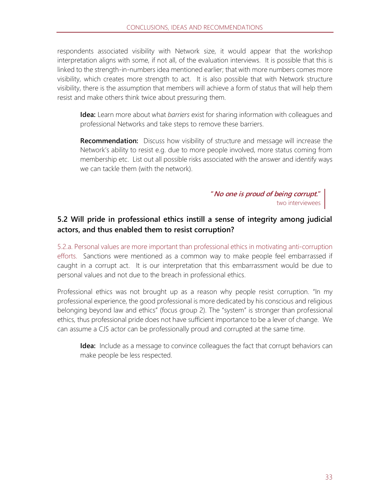respondents associated visibility with Network size, it would appear that the workshop interpretation aligns with some, if not all, of the evaluation interviews. It is possible that this is linked to the strength-in-numbers idea mentioned earlier; that with more numbers comes more visibility, which creates more strength to act. It is also possible that with Network structure visibility, there is the assumption that members will achieve a form of status that will help them resist and make others think twice about pressuring them.

**Idea:** Learn more about what *barriers* exist for sharing information with colleagues and professional Networks and take steps to remove these barriers.

**Recommendation:** Discuss how visibility of structure and message will increase the Network's ability to resist e.g. due to more people involved, more status coming from membership etc. List out all possible risks associated with the answer and identify ways we can tackle them (with the network).

> **"No one is proud of being corrupt."** two interviewees

#### **5.2 Will pride in professional ethics instill a sense of integrity among judicial actors, and thus enabled them to resist corruption?**

5.2.a. Personal values are more important than professional ethics in motivating anti-corruption efforts.Sanctions were mentioned as a common way to make people feel embarrassed if caught in a corrupt act. It is our interpretation that this embarrassment would be due to personal values and not due to the breach in professional ethics.

Professional ethics was not brought up as a reason why people resist corruption. "In my professional experience, the good professional is more dedicated by his conscious and religious belonging beyond law and ethics" (focus group 2). The "system" is stronger than professional ethics, thus professional pride does not have sufficient importance to be a lever of change. We can assume a CJS actor can be professionally proud and corrupted at the same time.

**Idea:** Include as a message to convince colleagues the fact that corrupt behaviors can make people be less respected.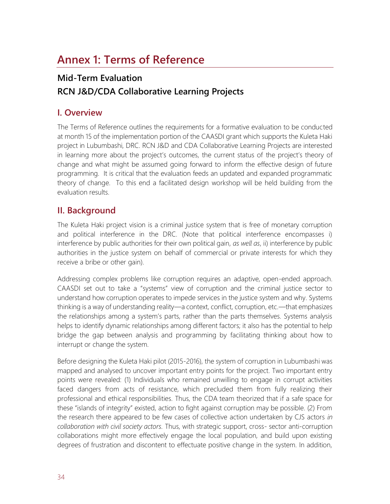## **Annex 1: Terms of Reference**

## **Mid-Term Evaluation RCN J&D/CDA Collaborative Learning Projects**

### **I. Overview**

The Terms of Reference outlines the requirements for a formative evaluation to be conducted at month 15 of the implementation portion of the CAASDI grant which supports the Kuleta Haki project in Lubumbashi, DRC. RCN J&D and CDA Collaborative Learning Projects are interested in learning more about the project's outcomes, the current status of the project's theory of change and what might be assumed going forward to inform the effective design of future programming. It is critical that the evaluation feeds an updated and expanded programmatic theory of change. To this end a facilitated design workshop will be held building from the evaluation results.

### **II. Background**

The Kuleta Haki project vision is a criminal justice system that is free of monetary corruption and political interference in the DRC. (Note that political interference encompasses i) interference by public authorities for their own political gain, *as well as*, ii) interference by public authorities in the justice system on behalf of commercial or private interests for which they receive a bribe or other gain).

Addressing complex problems like corruption requires an adaptive, open-ended approach. CAASDI set out to take a "systems" view of corruption and the criminal justice sector to understand how corruption operates to impede services in the justice system and why. Systems thinking is a way of understanding reality—a context, conflict, corruption, etc.—that emphasizes the relationships among a system's parts, rather than the parts themselves. Systems analysis helps to identify dynamic relationships among different factors; it also has the potential to help bridge the gap between analysis and programming by facilitating thinking about how to interrupt or change the system.

Before designing the Kuleta Haki pilot (2015-2016), the system of corruption in Lubumbashi was mapped and analysed to uncover important entry points for the project. Two important entry points were revealed: (1) Individuals who remained unwilling to engage in corrupt activities faced dangers from acts of resistance, which precluded them from fully realizing their professional and ethical responsibilities. Thus, the CDA team theorized that if a safe space for these "islands of integrity" existed, action to fight against corruption may be possible. (2) From the research there appeared to be few cases of collective action undertaken by CJS actors *in collaboration with civil society actors.* Thus, with strategic support, cross- sector anti-corruption collaborations might more effectively engage the local population, and build upon existing degrees of frustration and discontent to effectuate positive change in the system. In addition,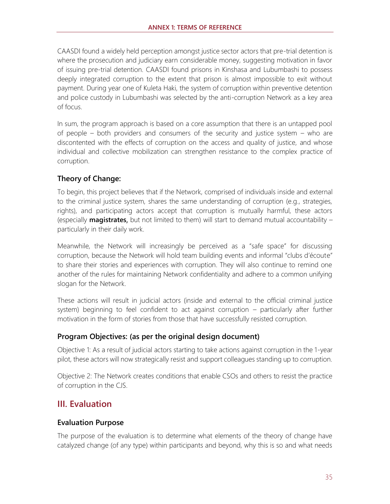CAASDI found a widely held perception amongst justice sector actors that pre-trial detention is where the prosecution and judiciary earn considerable money, suggesting motivation in favor of issuing pre-trial detention. CAASDI found prisons in Kinshasa and Lubumbashi to possess deeply integrated corruption to the extent that prison is almost impossible to exit without payment. During year one of Kuleta Haki, the system of corruption within preventive detention and police custody in Lubumbashi was selected by the anti-corruption Network as a key area of focus.

In sum, the program approach is based on a core assumption that there is an untapped pool of people – both providers and consumers of the security and justice system – who are discontented with the effects of corruption on the access and quality of justice, and whose individual and collective mobilization can strengthen resistance to the complex practice of corruption.

#### **Theory of Change:**

To begin, this project believes that if the Network, comprised of individuals inside and external to the criminal justice system, shares the same understanding of corruption (e.g., strategies, rights), and participating actors accept that corruption is mutually harmful, these actors (especially **magistrates**, but not limited to them) will start to demand mutual accountability – particularly in their daily work.

Meanwhile, the Network will increasingly be perceived as a "safe space" for discussing corruption, because the Network will hold team building events and informal "clubs d'écoute" to share their stories and experiences with corruption. They will also continue to remind one another of the rules for maintaining Network confidentiality and adhere to a common unifying slogan for the Network.

These actions will result in judicial actors (inside and external to the official criminal justice system) beginning to feel confident to act against corruption – particularly after further motivation in the form of stories from those that have successfully resisted corruption.

#### **Program Objectives: (as per the original design document)**

Objective 1: As a result of judicial actors starting to take actions against corruption in the 1-year pilot, these actors will now strategically resist and support colleagues standing up to corruption.

Objective 2: The Network creates conditions that enable CSOs and others to resist the practice of corruption in the CJS.

### **III. Evaluation**

#### **Evaluation Purpose**

The purpose of the evaluation is to determine what elements of the theory of change have catalyzed change (of any type) within participants and beyond, why this is so and what needs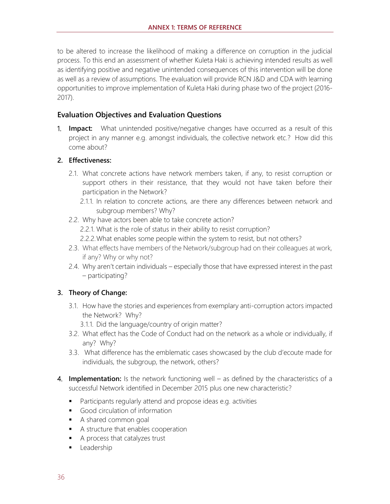to be altered to increase the likelihood of making a difference on corruption in the judicial process. To this end an assessment of whether Kuleta Haki is achieving intended results as well as identifying positive and negative unintended consequences of this intervention will be done as well as a review of assumptions. The evaluation will provide RCN J&D and CDA with learning opportunities to improve implementation of Kuleta Haki during phase two of the project (2016- 2017).

#### **Evaluation Objectives and Evaluation Questions**

1. **Impact:** What unintended positive/negative changes have occurred as a result of this project in any manner e.g. amongst individuals, the collective network etc.? How did this come about?

#### **2. Effectiveness:**

- 2.1. What concrete actions have network members taken, if any, to resist corruption or support others in their resistance, that they would not have taken before their participation in the Network?
	- 2.1.1. In relation to concrete actions, are there any differences between network and subgroup members? Why?
- 2.2. Why have actors been able to take concrete action?
	- 2.2.1. What is the role of status in their ability to resist corruption?
	- 2.2.2.What enables some people within the system to resist, but not others?
- 2.3. What effects have members of the Network/subgroup had on their colleagues at work, if any? Why or why not?
- 2.4. Why aren't certain individuals especially those that have expressed interest in the past – participating?

#### **3. Theory of Change:**

- 3.1. How have the stories and experiences from exemplary anti-corruption actors impacted the Network? Why?
	- 3.1.1. Did the language/country of origin matter?
- 3.2. What effect has the Code of Conduct had on the network as a whole or individually, if any? Why?
- 3.3. What difference has the emblematic cases showcased by the club d'ecoute made for individuals, the subgroup, the network, others?
- 4. **Implementation:** Is the network functioning well as defined by the characteristics of a successful Network identified in December 2015 plus one new characteristic?
	- Participants regularly attend and propose ideas e.g. activities
	- Good circulation of information
	- A shared common goal
	- A structure that enables cooperation
	- A process that catalyzes trust
	- **■** Leadership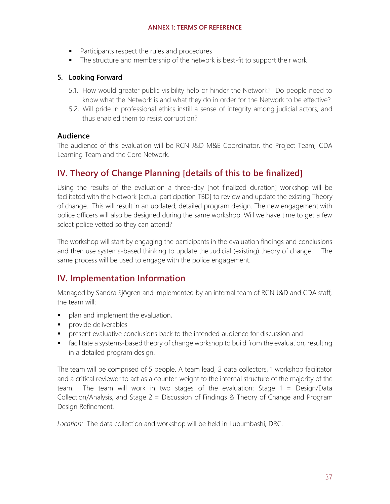- Participants respect the rules and procedures
- The structure and membership of the network is best-fit to support their work

#### **5. Looking Forward**

- 5.1. How would greater public visibility help or hinder the Network? Do people need to know what the Network is and what they do in order for the Network to be effective?
- 5.2. Will pride in professional ethics instill a sense of integrity among judicial actors, and thus enabled them to resist corruption?

#### **Audience**

The audience of this evaluation will be RCN J&D M&E Coordinator, the Project Team, CDA Learning Team and the Core Network.

## **IV. Theory of Change Planning [details of this to be finalized]**

Using the results of the evaluation a three-day [not finalized duration] workshop will be facilitated with the Network [actual participation TBD] to review and update the existing Theory of change. This will result in an updated, detailed program design. The new engagement with police officers will also be designed during the same workshop. Will we have time to get a few select police vetted so they can attend?

The workshop will start by engaging the participants in the evaluation findings and conclusions and then use systems-based thinking to update the Judicial (existing) theory of change. The same process will be used to engage with the police engagement.

## **IV. Implementation Information**

Managed by Sandra Sjögren and implemented by an internal team of RCN J&D and CDA staff, the team will:

- plan and implement the evaluation,
- provide deliverables
- **•** present evaluative conclusions back to the intended audience for discussion and
- facilitate a systems-based theory of change workshop to build from the evaluation, resulting in a detailed program design.

The team will be comprised of 5 people. A team lead, 2 data collectors, 1 workshop facilitator and a critical reviewer to act as a counter-weight to the internal structure of the majority of the team. The team will work in two stages of the evaluation: Stage 1 = Design/Data Collection/Analysis, and Stage 2 = Discussion of Findings & Theory of Change and Program Design Refinement.

*Location:* The data collection and workshop will be held in Lubumbashi, DRC.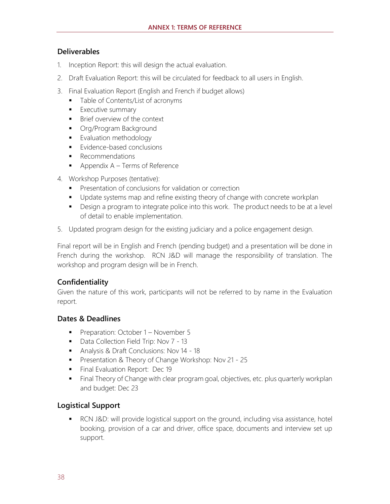#### **Deliverables**

- 1. Inception Report: this will design the actual evaluation.
- 2. Draft Evaluation Report: this will be circulated for feedback to all users in English.
- 3. Final Evaluation Report (English and French if budget allows)
	- Table of Contents/List of acronyms
	- **Executive summary**
	- Brief overview of the context
	- **•** Org/Program Background
	- **■** Evaluation methodology
	- Evidence-based conclusions
	- Recommendations
	- $\blacksquare$  Appendix A Terms of Reference
- 4. Workshop Purposes (tentative):
	- Presentation of conclusions for validation or correction
	- Update systems map and refine existing theory of change with concrete workplan
	- Design a program to integrate police into this work. The product needs to be at a level of detail to enable implementation.
- 5. Updated program design for the existing judiciary and a police engagement design.

Final report will be in English and French (pending budget) and a presentation will be done in French during the workshop. RCN J&D will manage the responsibility of translation. The workshop and program design will be in French.

#### **Confidentiality**

Given the nature of this work, participants will not be referred to by name in the Evaluation report.

#### **Dates & Deadlines**

- Preparation: October 1 November 5
- Data Collection Field Trip: Nov 7 13
- Analysis & Draft Conclusions: Nov 14 18
- Presentation & Theory of Change Workshop: Nov 21 25
- **EXECUTE: 19** Final Evaluation Report: Dec 19
- **EXTED Final Theory of Change with clear program goal, objectives, etc. plus quarterly workplan** and budget: Dec 23

#### **Logistical Support**

■ RCN J&D: will provide logistical support on the ground, including visa assistance, hotel booking, provision of a car and driver, office space, documents and interview set up support.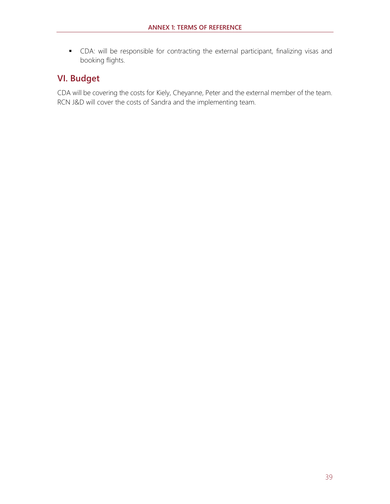▪ CDA: will be responsible for contracting the external participant, finalizing visas and booking flights.

## **VI. Budget**

CDA will be covering the costs for Kiely, Cheyanne, Peter and the external member of the team. RCN J&D will cover the costs of Sandra and the implementing team.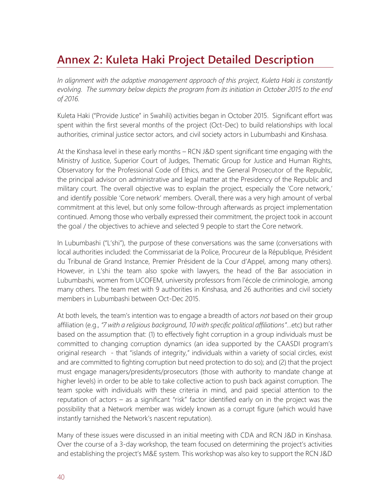## **Annex 2: Kuleta Haki Project Detailed Description**

*In alignment with the adaptive management approach of this project, Kuleta Haki is constantly evolving. The summary below depicts the program from its initiation in October 2015 to the end of 2016.*

Kuleta Haki ("Provide Justice" in Swahili) activities began in October 2015. Significant effort was spent within the first several months of the project (Oct-Dec) to build relationships with local authorities, criminal justice sector actors, and civil society actors in Lubumbashi and Kinshasa.

At the Kinshasa level in these early months – RCN J&D spent significant time engaging with the Ministry of Justice, Superior Court of Judges, Thematic Group for Justice and Human Rights, Observatory for the Professional Code of Ethics, and the General Prosecutor of the Republic, the principal advisor on administrative and legal matter at the Presidency of the Republic and military court. The overall objective was to explain the project, especially the 'Core network,' and identify possible 'Core network' members. Overall, there was a very high amount of verbal commitment at this level, but only some follow-through afterwards as project implementation continued. Among those who verbally expressed their commitment, the project took in account the goal / the objectives to achieve and selected 9 people to start the Core network.

In Lubumbashi ("L'shi"), the purpose of these conversations was the same (conversations with local authorities included: the Commissariat de la Police, Procureur de la République, Président du Tribunal de Grand Instance, Premier Président de la Cour d'Appel, among many others). However, in L'shi the team also spoke with lawyers, the head of the Bar association in Lubumbashi, women from UCOFEM, university professors from l'école de criminologie, among many others. The team met with 9 authorities in Kinshasa, and 26 authorities and civil society members in Lubumbashi between Oct-Dec 2015.

At both levels, the team's intention was to engage a breadth of actors *not* based on their group affiliation (e.g., *"7 with a religious background, 10 with specific political affiliations"*…etc) but rather based on the assumption that: (1) to effectively fight corruption in a group individuals must be committed to changing corruption dynamics (an idea supported by the CAASDI program's original research - that "islands of integrity," individuals within a variety of social circles, exist and are committed to fighting corruption but need protection to do so); and (2) that the project must engage managers/presidents/prosecutors (those with authority to mandate change at higher levels) in order to be able to take collective action to push back against corruption. The team spoke with individuals with these criteria in mind, and paid special attention to the reputation of actors – as a significant "risk" factor identified early on in the project was the possibility that a Network member was widely known as a corrupt figure (which would have instantly tarnished the Network's nascent reputation).

Many of these issues were discussed in an initial meeting with CDA and RCN J&D in Kinshasa. Over the course of a 3-day workshop, the team focused on determining the project's activities and establishing the project's M&E system. This workshop was also key to support the RCN J&D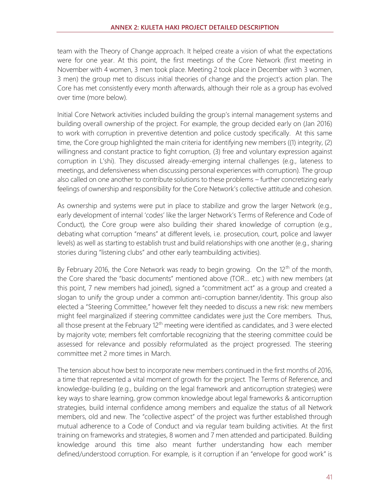team with the Theory of Change approach. It helped create a vision of what the expectations were for one year. At this point, the first meetings of the Core Network (first meeting in November with 4 women, 3 men took place. Meeting 2 took place in December with 3 women, 3 men) the group met to discuss initial theories of change and the project's action plan. The Core has met consistently every month afterwards, although their role as a group has evolved over time (more below).

Initial Core Network activities included building the group's internal management systems and building overall ownership of the project. For example, the group decided early on (Jan 2016) to work with corruption in preventive detention and police custody specifically. At this same time, the Core group highlighted the main criteria for identifying new members ((1) integrity, (2) willingness and constant practice to fight corruption, (3) free and voluntary expression against corruption in L'shi). They discussed already-emerging internal challenges (e.g., lateness to meetings, and defensiveness when discussing personal experiences with corruption). The group also called on one another to contribute solutions to these problems – further concretizing early feelings of ownership and responsibility for the Core Network's collective attitude and cohesion.

As ownership and systems were put in place to stabilize and grow the larger Network (e.g., early development of internal 'codes' like the larger Network's Terms of Reference and Code of Conduct), the Core group were also building their shared knowledge of corruption (e.g., debating what corruption "means" at different levels, i.e. prosecution, court, police and lawyer levels) as well as starting to establish trust and build relationships with one another (e.g., sharing stories during "listening clubs" and other early teambuilding activities).

By February 2016, the Core Network was ready to begin growing. On the 12<sup>th</sup> of the month, the Core shared the "basic documents" mentioned above (TOR… etc.) with new members (at this point, 7 new members had joined), signed a "commitment act" as a group and created a slogan to unify the group under a common anti-corruption banner/identity. This group also elected a "Steering Committee," however felt they needed to discuss a new risk: new members might feel marginalized if steering committee candidates were just the Core members. Thus, all those present at the February  $12<sup>th</sup>$  meeting were identified as candidates, and 3 were elected by majority vote; members felt comfortable recognizing that the steering committee could be assessed for relevance and possibly reformulated as the project progressed. The steering committee met 2 more times in March.

The tension about how best to incorporate new members continued in the first months of 2016, a time that represented a vital moment of growth for the project. The Terms of Reference, and knowledge-building (e.g., building on the legal framework and anticorruption strategies) were key ways to share learning, grow common knowledge about legal frameworks & anticorruption strategies, build internal confidence among members and equalize the status of all Network members, old and new. The "collective aspect" of the project was further established through mutual adherence to a Code of Conduct and via regular team building activities. At the first training on frameworks and strategies, 8 women and 7 men attended and participated. Building knowledge around this time also meant further understanding how each member defined/understood corruption. For example, is it corruption if an "envelope for good work" is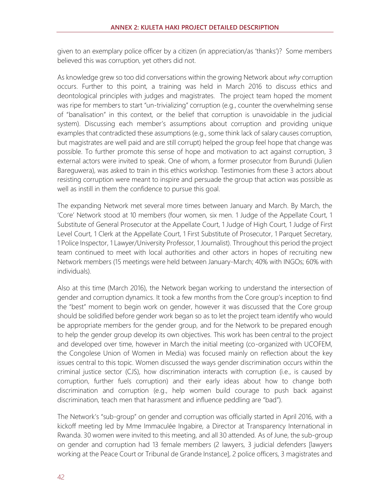given to an exemplary police officer by a citizen (in appreciation/as 'thanks')? Some members believed this was corruption, yet others did not.

As knowledge grew so too did conversations within the growing Network about *why* corruption occurs. Further to this point, a training was held in March 2016 to discuss ethics and deontological principles with judges and magistrates. The project team hoped the moment was ripe for members to start "un-trivializing" corruption (e.g., counter the overwhelming sense of "banalisation" in this context, or the belief that corruption is unavoidable in the judicial system). Discussing each member's assumptions about corruption and providing unique examples that contradicted these assumptions (e.g., some think lack of salary causes corruption, but magistrates are well paid and are still corrupt) helped the group feel hope that change was possible. To further promote this sense of hope and motivation to act against corruption, 3 external actors were invited to speak. One of whom, a former prosecutor from Burundi (Julien Bareguwera), was asked to train in this ethics workshop. Testimonies from these 3 actors about resisting corruption were meant to inspire and persuade the group that action was possible as well as instill in them the confidence to pursue this goal.

The expanding Network met several more times between January and March. By March, the 'Core' Network stood at 10 members (four women, six men. 1 Judge of the Appellate Court, 1 Substitute of General Prosecutor at the Appellate Court, 1 Judge of High Court, 1 Judge of First Level Court, 1 Clerk at the Appellate Court, 1 First Substitute of Prosecutor, 1 Parquet Secretary, 1 Police Inspector, 1 Lawyer/University Professor, 1 Journalist). Throughout this period the project team continued to meet with local authorities and other actors in hopes of recruiting new Network members (15 meetings were held between January-March; 40% with INGOs; 60% with individuals).

Also at this time (March 2016), the Network began working to understand the intersection of gender and corruption dynamics. It took a few months from the Core group's inception to find the "best" moment to begin work on gender, however it was discussed that the Core group should be solidified before gender work began so as to let the project team identify who would be appropriate members for the gender group, and for the Network to be prepared enough to help the gender group develop its own objectives. This work has been central to the project and developed over time, however in March the initial meeting (co-organized with UCOFEM, the Congolese Union of Women in Media) was focused mainly on reflection about the key issues central to this topic. Women discussed the ways gender discrimination occurs within the criminal justice sector (CJS), how discrimination interacts with corruption (i.e., is caused by corruption, further fuels corruption) and their early ideas about how to change both discrimination and corruption (e.g., help women build courage to push back against discrimination, teach men that harassment and influence peddling are "bad").

The Network's "sub-group" on gender and corruption was officially started in April 2016, with a kickoff meeting led by Mme Immaculée Ingabire, a Director at Transparency International in Rwanda. 30 women were invited to this meeting, and all 30 attended. As of June, the sub-group on gender and corruption had 13 female members (2 lawyers, 3 judicial defenders [lawyers working at the Peace Court or Tribunal de Grande Instance], 2 police officers, 3 magistrates and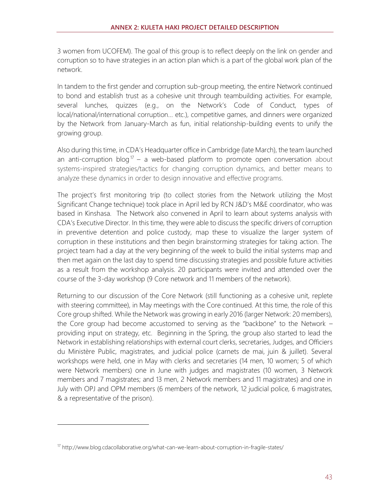3 women from UCOFEM). The goal of this group is to reflect deeply on the link on gender and corruption so to have strategies in an action plan which is a part of the global work plan of the network.

In tandem to the first gender and corruption sub-group meeting, the entire Network continued to bond and establish trust as a cohesive unit through teambuilding activities. For example, several lunches, quizzes (e.g., on the Network's Code of Conduct, types of local/national/international corruption... etc.), competitive games, and dinners were organized by the Network from January-March as fun, initial relationship-building events to unify the growing group.

Also during this time, in CDA's Headquarter office in Cambridge (late March), the team launched an anti-corruption blog<sup>17</sup> – a web-based platform to promote open conversation about systems-inspired strategies/tactics for changing corruption dynamics, and better means to analyze these dynamics in order to design innovative and effective programs.

The project's first monitoring trip (to collect stories from the Network utilizing the Most Significant Change technique) took place in April led by RCN J&D's M&E coordinator, who was based in Kinshasa. The Network also convened in April to learn about systems analysis with CDA's Executive Director. In this time, they were able to discuss the specific drivers of corruption in preventive detention and police custody, map these to visualize the larger system of corruption in these institutions and then begin brainstorming strategies for taking action. The project team had a day at the very beginning of the week to build the initial systems map and then met again on the last day to spend time discussing strategies and possible future activities as a result from the workshop analysis. 20 participants were invited and attended over the course of the 3-day workshop (9 Core network and 11 members of the network).

Returning to our discussion of the Core Network (still functioning as a cohesive unit, replete with steering committee), in May meetings with the Core continued. At this time, the role of this Core group shifted. While the Network was growing in early 2016 (larger Network: 20 members), the Core group had become accustomed to serving as the "backbone" to the Network – providing input on strategy, etc. Beginning in the Spring, the group also started to lead the Network in establishing relationships with external court clerks, secretaries, Judges, and Officiers du Ministère Public, magistrates, and judicial police (carnets de mai, juin & juillet). Several workshops were held, one in May with clerks and secretaries (14 men, 10 women; 5 of which were Network members) one in June with judges and magistrates (10 women, 3 Network members and 7 magistrates; and 13 men, 2 Network members and 11 magistrates) and one in July with OPJ and OPM members (6 members of the network, 12 judicial police, 6 magistrates, & a representative of the prison).

<sup>&</sup>lt;sup>17</sup> http://www.blog.cdacollaborative.org/what-can-we-learn-about-corruption-in-fragile-states/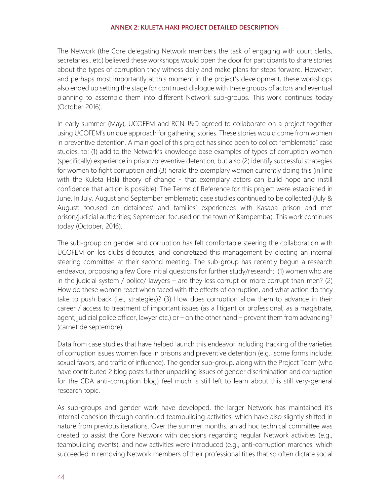The Network (the Core delegating Network members the task of engaging with court clerks, secretaries…etc) believed these workshops would open the door for participants to share stories about the types of corruption they witness daily and make plans for steps forward. However, and perhaps most importantly at this moment in the project's development, these workshops also ended up setting the stage for continued dialogue with these groups of actors and eventual planning to assemble them into different Network sub-groups. This work continues today (October 2016).

In early summer (May), UCOFEM and RCN J&D agreed to collaborate on a project together using UCOFEM's unique approach for gathering stories. These stories would come from women in preventive detention. A main goal of this project has since been to collect "emblematic" case studies, to: (1) add to the Network's knowledge base examples of types of corruption women (specifically) experience in prison/preventive detention, but also (2) identify successful strategies for women to fight corruption and (3) herald the exemplary women currently doing this (in line with the Kuleta Haki theory of change - that exemplary actors can build hope and instill confidence that action is possible). The Terms of Reference for this project were established in June. In July, August and September emblematic case studies continued to be collected (July & August: focused on detainees' and families' experiences with Kasapa prison and met prison/judicial authorities; September: focused on the town of Kampemba). This work continues today (October, 2016).

The sub-group on gender and corruption has felt comfortable steering the collaboration with UCOFEM on les clubs d'écoutes, and concretized this management by electing an internal steering committee at their second meeting. The sub-group has recently begun a research endeavor, proposing a few Core initial questions for further study/research: (1) women who are in the judicial system / police/ lawyers – are they less corrupt or more corrupt than men? (2) How do these women react when faced with the effects of corruption, and what action do they take to push back (i.e., strategies)? (3) How does corruption allow them to advance in their career / access to treatment of important issues (as a litigant or professional, as a magistrate, agent, judicial police officer, lawyer etc.) or – on the other hand – prevent them from advancing? (carnet de septembre).

Data from case studies that have helped launch this endeavor including tracking of the varieties of corruption issues women face in prisons and preventive detention (e.g., some forms include: sexual favors, and traffic of influence). The gender sub-group, along with the Project Team (who have contributed 2 blog posts further unpacking issues of gender discrimination and corruption for the CDA anti-corruption blog) feel much is still left to learn about this still very-general research topic.

As sub-groups and gender work have developed, the larger Network has maintained it's internal cohesion through continued teambuilding activities, which have also slightly shifted in nature from previous iterations. Over the summer months, an ad hoc technical committee was created to assist the Core Network with decisions regarding regular Network activities (e.g., teambuilding events), and new activities were introduced (e.g., anti-corruption marches, which succeeded in removing Network members of their professional titles that so often dictate social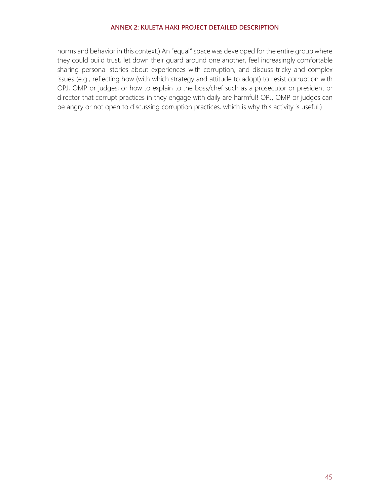norms and behavior in this context.) An "equal" space was developed for the entire group where they could build trust, let down their guard around one another, feel increasingly comfortable sharing personal stories about experiences with corruption, and discuss tricky and complex issues (e.g., reflecting how (with which strategy and attitude to adopt) to resist corruption with OPJ, OMP or judges; or how to explain to the boss/chef such as a prosecutor or president or director that corrupt practices in they engage with daily are harmful! OPJ, OMP or judges can be angry or not open to discussing corruption practices, which is why this activity is useful.)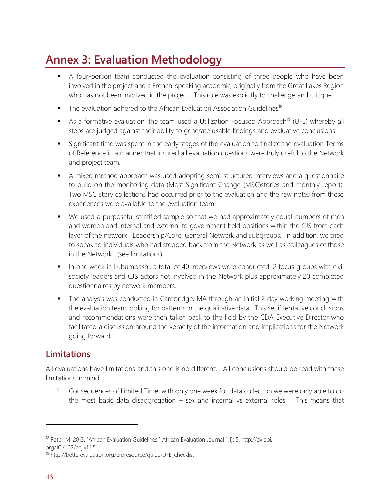## **Annex 3: Evaluation Methodology**

- A four-person team conducted the evaluation consisting of three people who have been involved in the project and a French-speaking academic, originally from the Great Lakes Region who has not been involved in the project. This role was explicitly to challenge and critique.
- $\blacksquare$  The evaluation adhered to the African Evaluation Association Guidelines<sup>18</sup>.
- **E** As a formative evaluation, the team used a Utilization Focused Approach<sup>19</sup> (UFE) whereby all steps are judged against their ability to generate usable findings and evaluative conclusions.
- **EXT** Significant time was spent in the early stages of the evaluation to finalize the evaluation Terms of Reference in a manner that insured all evaluation questions were truly useful to the Network and project team.
- A mixed method approach was used adopting semi-structured interviews and a questionnaire to build on the monitoring data (Most Significant Change (MSC)stories and monthly report). Two MSC story collections had occurred prior to the evaluation and the raw notes from these experiences were available to the evaluation team.
- We used a purposeful stratified sample so that we had approximately equal numbers of men and women and internal and external to government held positions within the CJS from each layer of the network: Leadership/Core, General Network and subgroups. In addition, we tried to speak to individuals who had stepped back from the Network as well as colleagues of those in the Network. (see limitations)
- **•** In one week in Lubumbashi, a total of 40 interviews were conducted, 2 focus groups with civil society leaders and CJS actors not involved in the Network plus approximately 20 completed questionnaires by network members.
- **•** The analysis was conducted in Cambridge, MA through an initial 2 day working meeting with the evaluation team looking for patterns in the qualitative data. This set if tentative conclusions and recommendations were then taken back to the field by the CDA Executive Director who facilitated a discussion around the veracity of the information and implications for the Network going forward.

## **Limitations**

All evaluations have limitations and this one is no different. All conclusions should be read with these limitations in mind.

1. Consequences of Limited Time: with only one week for data collection we were only able to do the most basic data disaggregation – sex and internal vs external roles. This means that

<sup>&</sup>lt;sup>18</sup> Patel, M. 2013. "African Evaluation Guidelines." African Evaluation Journal 1(1): 5. http://dx.doi. org/10.4102/aej.v1i1.51

<sup>19</sup> http://betterevaluation.org/en/resource/guide/UFE\_checklist